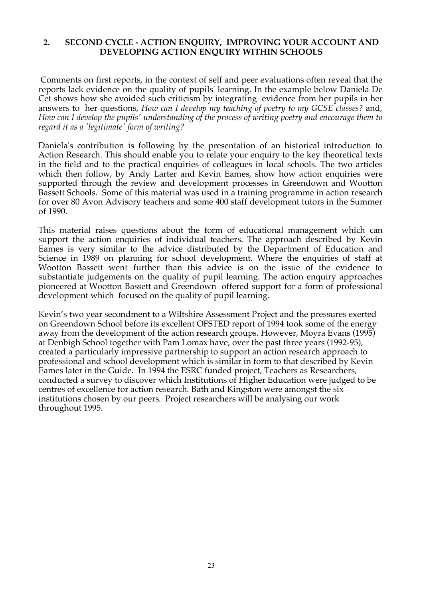# **2. SECOND CYCLE - ACTION ENQUIRY, IMPROVING YOUR ACCOUNT AND DEVELOPING ACTION ENQUIRY WITHIN SCHOOLS**

Comments on first reports, in the context of self and peer evaluations often reveal that the reports lack evidence on the quality of pupils' learning. In the example below Daniela De Cet shows how she avoided such criticism by integrating evidence from her pupils in her answers to her questions, *How can I develop my teaching of poetry to my GCSE classes?* and, *How can I develop the pupils' understanding of the process of writing poetry and encourage them to regard it as a 'legitimate' form of writing?*

Daniela's contribution is following by the presentation of an historical introduction to Action Research. This should enable you to relate your enquiry to the key theoretical texts in the field and to the practical enquiries of colleagues in local schools. The two articles which then follow, by Andy Larter and Kevin Eames, show how action enquiries were supported through the review and development processes in Greendown and Wootton Bassett Schools. Some of this material was used in a training programme in action research for over 80 Avon Advisory teachers and some 400 staff development tutors in the Summer of 1990.

This material raises questions about the form of educational management which can support the action enquiries of individual teachers. The approach described by Kevin Eames is very similar to the advice distributed by the Department of Education and Science in 1989 on planning for school development. Where the enquiries of staff at Wootton Bassett went further than this advice is on the issue of the evidence to substantiate judgements on the quality of pupil learning. The action enquiry approaches pioneered at Wootton Bassett and Greendown offered support for a form of professional development which focused on the quality of pupil learning.

Kevin's two year secondment to a Wiltshire Assessment Project and the pressures exerted on Greendown School before its excellent OFSTED report of 1994 took some of the energy away from the development of the action research groups. However, Moyra Evans (1995) at Denbigh School together with Pam Lomax have, over the past three years (1992-95), created a particularly impressive partnership to support an action research approach to professional and school development which is similar in form to that described by Kevin Eames later in the Guide. In 1994 the ESRC funded project, Teachers as Researchers, conducted a survey to discover which Institutions of Higher Education were judged to be centres of excellence for action research. Bath and Kingston were amongst the six institutions chosen by our peers. Project researchers will be analysing our work throughout 1995.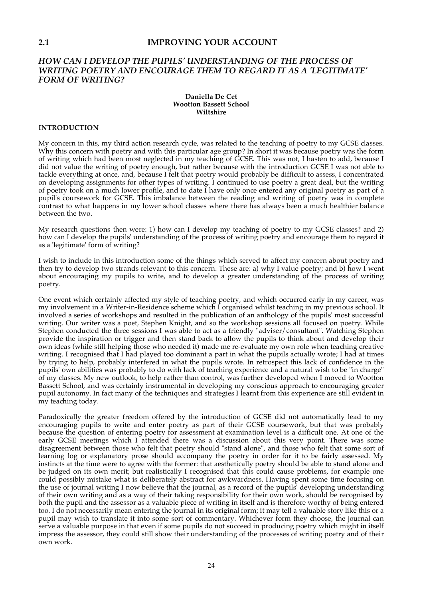## **2.1 IMPROVING YOUR ACCOUNT**

# *HOW CAN I DEVELOP THE PUPILS' UNDERSTANDING OF THE PROCESS OF WRITING POETRY AND ENCOURAGE THEM TO REGARD IT AS A 'LEGITIMATE' FORM OF WRITING?*

#### **Daniella De Cet Wootton Bassett School Wiltshire**

#### **INTRODUCTION**

My concern in this, my third action research cycle, was related to the teaching of poetry to my GCSE classes. Why this concern with poetry and with this particular age group? In short it was because poetry was the form of writing which had been most neglected in my teaching of GCSE. This was not, I hasten to add, because I did not value the writing of poetry enough, but rather because with the introduction GCSE I was not able to tackle everything at once, and, because I felt that poetry would probably be difficult to assess, I concentrated on developing assignments for other types of writing. I continued to use poetry a great deal, but the writing of poetry took on a much lower profile, and to date I have only once entered any original poetry as part of a pupil's coursework for GCSE. This imbalance between the reading and writing of poetry was in complete contrast to what happens in my lower school classes where there has always been a much healthier balance between the two.

My research questions then were: 1) how can I develop my teaching of poetry to my GCSE classes? and 2) how can I develop the pupils' understanding of the process of writing poetry and encourage them to regard it as a 'legitimate' form of writing?

I wish to include in this introduction some of the things which served to affect my concern about poetry and then try to develop two strands relevant to this concern. These are: a) why I value poetry; and b) how I went about encouraging my pupils to write, and to develop a greater understanding of the process of writing poetry.

One event which certainly affected my style of teaching poetry, and which occurred early in my career, was my involvement in a Writer-in-Residence scheme which I organised whilst teaching in my previous school. It involved a series of workshops and resulted in the publication of an anthology of the pupils' most successful writing. Our writer was a poet, Stephen Knight, and so the workshop sessions all focused on poetry. While Stephen conducted the three sessions I was able to act as a friendly "adviser/consultant". Watching Stephen provide the inspiration or trigger and then stand back to allow the pupils to think about and develop their own ideas (while still helping those who needed it) made me re-evaluate my own role when teaching creative writing. I recognised that I had played too dominant a part in what the pupils actually wrote; I had at times by trying to help, probably interfered in what the pupils wrote. In retrospect this lack of confidence in the pupils' own abilities was probably to do with lack of teaching experience and a natural wish to be "in charge" of my classes. My new outlook, to help rather than control, was further developed when I moved to Wootton Bassett School, and was certainly instrumental in developing my conscious approach to encouraging greater pupil autonomy. In fact many of the techniques and strategies I learnt from this experience are still evident in my teaching today.

Paradoxically the greater freedom offered by the introduction of GCSE did not automatically lead to my encouraging pupils to write and enter poetry as part of their GCSE coursework, but that was probably because the question of entering poetry for assessment at examination level is a difficult one. At one of the early GCSE meetings which I attended there was a discussion about this very point. There was some disagreement between those who felt that poetry should "stand alone", and those who felt that some sort of learning log or explanatory prose should accompany the poetry in order for it to be fairly assessed. My instincts at the time were to agree with the former: that aesthetically poetry should be able to stand alone and be judged on its own merit; but realistically I recognised that this could cause problems, for example one could possibly mistake what is deliberately abstract for awkwardness. Having spent some time focusing on the use of journal writing I now believe that the journal, as a record of the pupils' developing understanding of their own writing and as a way of their taking responsibility for their own work, should be recognised by both the pupil and the assessor as a valuable piece of writing in itself and is therefore worthy of being entered too. I do not necessarily mean entering the journal in its original form; it may tell a valuable story like this or a pupil may wish to translate it into some sort of commentary. Whichever form they choose, the journal can serve a valuable purpose in that even if some pupils do not succeed in producing poetry which might in itself impress the assessor, they could still show their understanding of the processes of writing poetry and of their own work.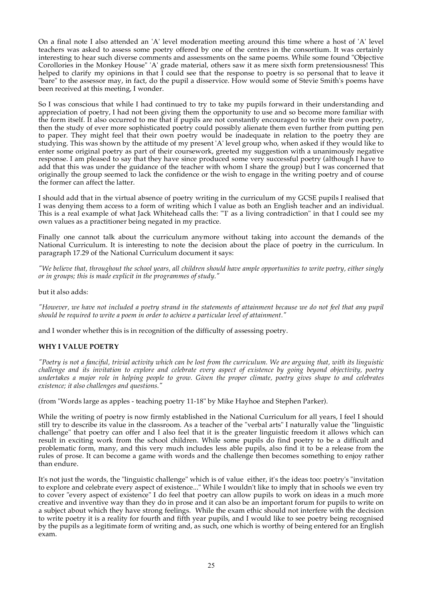On a final note I also attended an 'A' level moderation meeting around this time where a host of 'A' level teachers was asked to assess some poetry offered by one of the centres in the consortium. It was certainly interesting to hear such diverse comments and assessments on the same poems. While some found "Objective Corollories in the Monkey House" 'A' grade material, others saw it as mere sixth form pretensiousness! This helped to clarify my opinions in that I could see that the response to poetry is so personal that to leave it "bare" to the assessor may, in fact, do the pupil a disservice. How would some of Stevie Smith's poems have been received at this meeting, I wonder.

So I was conscious that while I had continued to try to take my pupils forward in their understanding and appreciation of poetry, I had not been giving them the opportunity to use and so become more familiar with the form itself. It also occurred to me that if pupils are not constantly encouraged to write their own poetry, then the study of ever more sophisticated poetry could possibly alienate them even further from putting pen to paper. They might feel that their own poetry would be inadequate in relation to the poetry they are studying. This was shown by the attitude of my present 'A' level group who, when asked if they would like to enter some original poetry as part of their coursework, greeted my suggestion with a unanimously negative response. I am pleased to say that they have since produced some very successful poetry (although I have to add that this was under the guidance of the teacher with whom I share the group) but I was concerned that originally the group seemed to lack the confidence or the wish to engage in the writing poetry and of course the former can affect the latter.

I should add that in the virtual absence of poetry writing in the curriculum of my GCSE pupils I realised that I was denying them access to a form of writing which I value as both an English teacher and an individual. This is a real example of what Jack Whitehead calls the: "I' as a living contradiction" in that I could see my own values as a practitioner being negated in my practice.

Finally one cannot talk about the curriculum anymore without taking into account the demands of the National Curriculum. It is interesting to note the decision about the place of poetry in the curriculum. In paragraph 17.29 of the National Curriculum document it says:

"We believe that, throughout the school years, all children should have ample opportunities to write poetry, either singly *or in groups; this is made explicit in the programmes of study."*

but it also adds:

"However, we have not included a poetry strand in the statements of attainment because we do not feel that any pupil *should be required to write a poem in order to achieve a particular level of attainment."*

and I wonder whether this is in recognition of the difficulty of assessing poetry.

## **WHY I VALUE POETRY**

"Poetry is not a fanciful, trivial activity which can be lost from the curriculum. We are arguing that, with its linguistic challenge and its invitation to explore and celebrate every aspect of existence by going beyond objectivity, poetry undertakes a major role in helping people to grow. Given the proper climate, poetry gives shape to and celebrates *existence; it also challenges and questions."*

(from "Words large as apples - teaching poetry 11-18" by Mike Hayhoe and Stephen Parker).

While the writing of poetry is now firmly established in the National Curriculum for all years, I feel I should still try to describe its value in the classroom. As a teacher of the "verbal arts" I naturally value the "linguistic challenge" that poetry can offer and I also feel that it is the greater linguistic freedom it allows which can result in exciting work from the school children. While some pupils do find poetry to be a difficult and problematic form, many, and this very much includes less able pupils, also find it to be a release from the rules of prose. It can become a game with words and the challenge then becomes something to enjoy rather than endure.

It's not just the words, the "linguistic challenge" which is of value either, it's the ideas too: poetry's "invitation to explore and celebrate every aspect of existence..." While I wouldn't like to imply that in schools we even try to cover "every aspect of existence" I do feel that poetry can allow pupils to work on ideas in a much more creative and inventive way than they do in prose and it can also be an important forum for pupils to write on a subject about which they have strong feelings. While the exam ethic should not interfere with the decision to write poetry it is a reality for fourth and fifth year pupils, and I would like to see poetry being recognised by the pupils as a legitimate form of writing and, as such, one which is worthy of being entered for an English exam.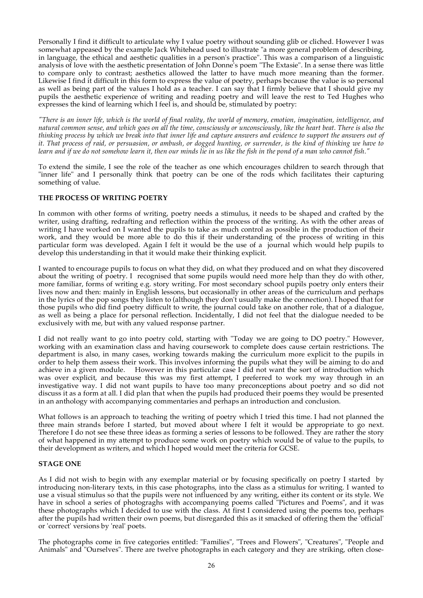Personally I find it difficult to articulate why I value poetry without sounding glib or cliched. However I was somewhat appeased by the example Jack Whitehead used to illustrate "a more general problem of describing, in language, the ethical and aesthetic qualities in a person's practice". This was a comparison of a linguistic analysis of love with the aesthetic presentation of John Donne's poem "The Extasie". In a sense there was little to compare only to contrast; aesthetics allowed the latter to have much more meaning than the former. Likewise I find it difficult in this form to express the value of poetry, perhaps because the value is so personal as well as being part of the values I hold as a teacher. I can say that I firmly believe that I should give my pupils the aesthetic experience of writing and reading poetry and will leave the rest to Ted Hughes who expresses the kind of learning which I feel is, and should be, stimulated by poetry:

"There is an inner life, which is the world of final reality, the world of memory, emotion, imagination, intelligence, and natural common sense, and which goes on all the time, consciously or unconsciously, like the heart beat. There is also the thinking process by which we break into that inner life and capture answers and evidence to support the answers out of it. That process of raid, or persuasion, or ambush, or dogged hunting, or surrender, is the kind of thinking we have to learn and if we do not somehow learn it, then our minds lie in us like the fish in the pond of a man who cannot fish."

To extend the simile, I see the role of the teacher as one which encourages children to search through that "inner life" and I personally think that poetry can be one of the rods which facilitates their capturing something of value.

### **THE PROCESS OF WRITING POETRY**

In common with other forms of writing, poetry needs a stimulus, it needs to be shaped and crafted by the writer, using drafting, redrafting and reflection within the process of the writing. As with the other areas of writing I have worked on I wanted the pupils to take as much control as possible in the production of their work, and they would be more able to do this if their understanding of the process of writing in this particular form was developed. Again I felt it would be the use of a journal which would help pupils to develop this understanding in that it would make their thinking explicit.

I wanted to encourage pupils to focus on what they did, on what they produced and on what they discovered about the writing of poetry. I recognised that some pupils would need more help than they do with other, more familiar, forms of writing e.g. story writing. For most secondary school pupils poetry only enters their lives now and then: mainly in English lessons, but occasionally in other areas of the curriculum and perhaps in the lyrics of the pop songs they listen to (although they don't usually make the connection). I hoped that for those pupils who did find poetry difficult to write, the journal could take on another role, that of a dialogue, as well as being a place for personal reflection. Incidentally, I did not feel that the dialogue needed to be exclusively with me, but with any valued response partner.

I did not really want to go into poetry cold, starting with "Today we are going to DO poetry." However, working with an examination class and having coursework to complete does cause certain restrictions. The department is also, in many cases, working towards making the curriculum more explicit to the pupils in order to help them assess their work. This involves informing the pupils what they will be aiming to do and achieve in a given module. However in this particular case I did not want the sort of introduction which was over explicit, and because this was my first attempt, I preferred to work my way through in an investigative way. I did not want pupils to have too many preconceptions about poetry and so did not discuss it as a form at all. I did plan that when the pupils had produced their poems they would be presented in an anthology with accompanying commentaries and perhaps an introduction and conclusion.

What follows is an approach to teaching the writing of poetry which I tried this time. I had not planned the three main strands before I started, but moved about where I felt it would be appropriate to go next. Therefore I do not see these three ideas as forming a series of lessons to be followed. They are rather the story of what happened in my attempt to produce some work on poetry which would be of value to the pupils, to their development as writers, and which I hoped would meet the criteria for GCSE.

### **STAGE ONE**

As I did not wish to begin with any exemplar material or by focusing specifically on poetry I started by introducing non-literary texts, in this case photographs, into the class as a stimulus for writing. I wanted to use a visual stimulus so that the pupils were not influenced by any writing, either its content or its style. We have in school a series of photograghs with accompanying poems called "Pictures and Poems", and it was these photographs which I decided to use with the class. At first I considered using the poems too, perhaps after the pupils had written their own poems, but disregarded this as it smacked of offering them the 'official' or 'correct' versions by 'real' poets.

The photographs come in five categories entitled: "Families", "Trees and Flowers", "Creatures", "People and Animals" and "Ourselves". There are twelve photographs in each category and they are striking, often close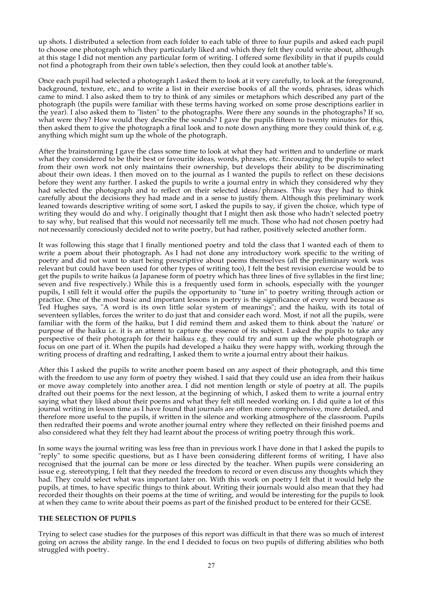up shots. I distributed a selection from each folder to each table of three to four pupils and asked each pupil to choose one photograph which they particularly liked and which they felt they could write about, although at this stage I did not mention any particular form of writing. I offered some flexibility in that if pupils could not find a photograph from their own table's selection, then they could look at another table's.

Once each pupil had selected a photograph I asked them to look at it very carefully, to look at the foreground, background, texture, etc., and to write a list in their exercise books of all the words, phrases, ideas which came to mind. I also asked them to try to think of any similes or metaphors which described any part of the photograph (the pupils were familiar with these terms having worked on some prose descriptions earlier in the year). I also asked them to "listen" to the photographs. Were there any sounds in the photographs? If so, what were they? How would they describe the sounds? I gave the pupils fifteen to twenty minutes for this, then asked them to give the photograph a final look and to note down anything more they could think of, e.g. anything which might sum up the whole of the photograph.

After the brainstorming I gave the class some time to look at what they had written and to underline or mark what they considered to be their best or favourite ideas, words, phrases, etc. Encouraging the pupils to select from their own work not only maintains their ownership, but develops their ability to be discriminating about their own ideas. I then moved on to the journal as I wanted the pupils to reflect on these decisions before they went any further. I asked the pupils to write a journal entry in which they considered why they had selected the photograph and to reflect on their selected ideas/phrases. This way they had to think carefully about the decisions they had made and in a sense to justify them. Although this preliminary work leaned towards descriptive writing of some sort, I asked the pupils to say, if given the choice, which type of writing they would do and why. I originally thought that I might then ask those who hadn't selected poetry to say why, but realised that this would not necessarily tell me much. Those who had not chosen poetry had not necessarily consciously decided not to write poetry, but had rather, positively selected another form.

It was following this stage that I finally mentioned poetry and told the class that I wanted each of them to write a poem about their photograph. As I had not done any introductory work specific to the writing of poetry and did not want to start being prescriptive about poems themselves (all the preliminary work was relevant but could have been used for other types of writing too), I felt the best revision exercise would be to get the pupils to write haikus (a Japanese form of poetry which has three lines of five syllables in the first line; seven and five respectively.) While this is a frequently used form in schools, especially with the younger pupils, I still felt it would offer the pupils the opportunity to "tune in" to poetry writing through action or practice. One of the most basic and important lessons in poetry is the significance of every word because as Ted Hughes says, "A word is its own little solar system of meanings"; and the haiku, with its total of seventeen syllables, forces the writer to do just that and consider each word. Most, if not all the pupils, were familiar with the form of the haiku, but I did remind them and asked them to think about the 'nature' or purpose of the haiku i.e. it is an attemt to capture the essence of its subject. I asked the pupils to take any perspective of their photograph for their haikus e.g. they could try and sum up the whole photograph or focus on one part of it. When the pupils had developed a haiku they were happy with, working through the writing process of drafting and redrafting, I asked them to write a journal entry about their haikus.

After this I asked the pupils to write another poem based on any aspect of their photograph, and this time with the freedom to use any form of poetry they wished. I said that they could use an idea from their haikus or move away completely into another area. I did not mention length or style of poetry at all. The pupils drafted out their poems for the next lesson, at the beginning of which, I asked them to write a journal entry saying what they liked about their poems and what they felt still needed working on. I did quite a lot of this journal writing in lesson time as I have found that journals are often more comprehensive, more detailed, and therefore more useful to the pupils, if written in the silence and working atmosphere of the classroom. Pupils then redrafted their poems and wrote another journal entry where they reflected on their finished poems and also considered what they felt they had learnt about the process of writing poetry through this work.

In some ways the journal writing was less free than in previous work I have done in that I asked the pupils to "reply" to some specific questions, but as I have been considering different forms of writing, I have also recognised that the journal can be more or less directed by the teacher. When pupils were considering an issue e.g. stereotyping, I felt that they needed the freedom to record or even discuss any thoughts which they had. They could select what was important later on. With this work on poetry I felt that it would help the pupils, at times, to have specific things to think about. Writing their journals would also mean that they had recorded their thoughts on their poems at the time of writing, and would be interesting for the pupils to look at when they came to write about their poems as part of the finished product to be entered for their GCSE.

## **THE SELECTION OF PUPILS**

Trying to select case studies for the purposes of this report was difficult in that there was so much of interest going on across the ability range. In the end I decided to focus on two pupils of differing abilities who both struggled with poetry.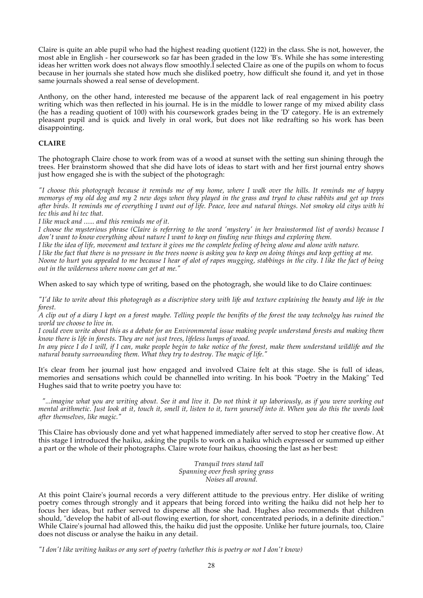Claire is quite an able pupil who had the highest reading quotient (122) in the class. She is not, however, the most able in English - her coursework so far has been graded in the low 'B's. While she has some interesting ideas her written work does not always flow smoothly.I selected Claire as one of the pupils on whom to focus because in her journals she stated how much she disliked poetry, how difficult she found it, and yet in those same journals showed a real sense of development.

Anthony, on the other hand, interested me because of the apparent lack of real engagement in his poetry writing which was then reflected in his journal. He is in the middle to lower range of my mixed ability class (he has a reading quotient of 100) with his coursework grades being in the 'D' category. He is an extremely pleasant pupil and is quick and lively in oral work, but does not like redrafting so his work has been disappointing.

### **CLAIRE**

The photograph Claire chose to work from was of a wood at sunset with the setting sun shining through the trees. Her brainstorm showed that she did have lots of ideas to start with and her first journal entry shows just how engaged she is with the subject of the photogragh:

"I choose this photogragh because it reminds me of my home, where I walk over the hills. It reminds me of happy memorys of my old dog and my 2 new dogs when they played in the grass and tryed to chase rabbits and get up trees after birds. It reminds me of everything I want out of life. Peace, love and natural things. Not smokey old citys with hi *tec this and hi tec that.*

*I like muck and ...... and this reminds me of it.*

I choose the mysterious phrase (Claire is referring to the word 'mystery' in her brainstormed list of words) because I don't want to know everything about nature I want to keep on finding new things and exploring them.

I like the idea of life, movement and texture it gives me the complete feeling of being alone and alone with nature.

I like the fact that there is no pressure in the trees noone is asking you to keep on doing things and keep getting at me.

Noone to hurt you appealed to me because I hear of alot of rapes mugging, stabbings in the city. I like the fact of being *out in the wilderness where noone can get at me."*

When asked to say which type of writing, based on the photogragh, she would like to do Claire continues:

"I'd like to write about this photogragh as a discriptive story with life and texture explaining the beauty and life in the *forest.*

A clip out of a diary I kept on a forest maybe. Telling people the benifits of the forest the way technolgy has ruined the *world we choose to live in.*

I could even write about this as a debate for an Environmental issue making people understand forests and making them *know there is life in forests. They are not just trees, lifeless lumps of wood.*

In any piece I do I will, if I can, make people begin to take notice of the forest, make them understand wildlife and the *natural beauty surroounding them. What they try to destroy. The magic of life."*

It's clear from her journal just how engaged and involved Claire felt at this stage. She is full of ideas, memories and sensations which could be channelled into writing. In his book "Poetry in the Making" Ted Hughes said that to write poetry you have to:

"...imagine what you are writing about. See it and live it. Do not think it up laboriously, as if you were working out mental arithmetic. Just look at it, touch it, smell it, listen to it, turn yourself into it. When you do this the words look *after themselves, like magic."*

This Claire has obviously done and yet what happened immediately after served to stop her creative flow. At this stage I introduced the haiku, asking the pupils to work on a haiku which expressed or summed up either a part or the whole of their photographs. Claire wrote four haikus, choosing the last as her best:

> *Tranquil trees stand tall Spanning over fresh spring grass Noises all around.*

At this point Claire's journal records a very different attitude to the previous entry. Her dislike of writing poetry comes through strongly and it appears that being forced into writing the haiku did not help her to focus her ideas, but rather served to disperse all those she had. Hughes also recommends that children should, "develop the habit of all-out flowing exertion, for short, concentrated periods, in a definite direction." While Claire's journal had allowed this, the haiku did just the opposite. Unlike her future journals, too, Claire does not discuss or analyse the haiku in any detail.

"I don't like writing haikus or any sort of poetry (whether this is poetry or not I don't know)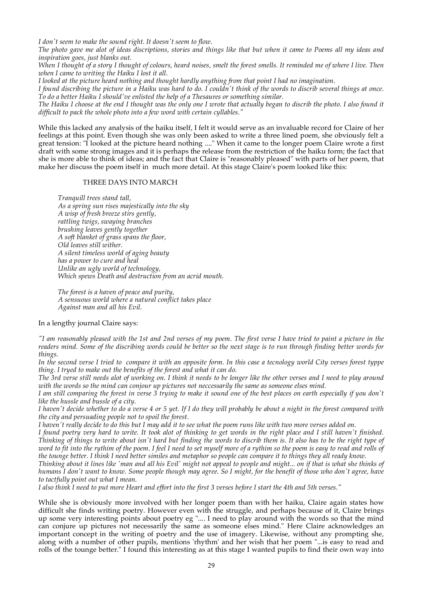*I don't seem to make the sound right. It doesn't seem to flow.*

The photo gave me alot of ideas discriptions, stories and things like that but when it came to Poems all my ideas and *inspiration goes, just blanks out.*

When I thought of a story I thought of colours, heard noises, smelt the forest smells. It reminded me of where I live. Then *when I came to writing the Haiku I lost it all.*

I looked at the picture heard nothing and thought hardly anything from that point I had no imagination.

I found discribing the picture in a Haiku was hard to do. I couldn't think of the words to discrib several things at once. *To do a better Haiku I should've enlisted the help of a Thesaures or something similar.*

The Haiku I choose at the end I thought was the only one I wrote that actually began to discrib the photo. I also found it *difficult to pack the whole photo into a few word with certain cyllables."*

While this lacked any analysis of the haiku itself, I felt it would serve as an invaluable record for Claire of her feelings at this point. Even though she was only been asked to write a three lined poem, she obviously felt a great tension: "I looked at the picture heard nothing ...." When it came to the longer poem Claire wrote a first draft with some strong images and it is perhaps the release from the restriction of the haiku form; the fact that she is more able to think of ideas; and the fact that Claire is "reasonably pleased" with parts of her poem, that make her discuss the poem itself in much more detail. At this stage Claire's poem looked like this:

### THREE DAYS INTO MARCH

*Tranquill trees stand tall, As a spring sun rises majestically into the sky A wisp of fresh breeze stirs gently, rattling twigs, swaying branches brushing leaves gently together A soft blanket of grass spans the floor, Old leaves still wither. A silent timeless world of aging beauty has a power to cure and heal Unlike an ugly world of technology, Which spews Death and destruction from an acrid mouth.*

*The forest is a haven of peace and purity, A sensuous world where a natural conflict takes place Against man and all his Evil.*

## In a lengthy journal Claire says:

"I am reasonably pleased with the 1st and 2nd verses of my poem. The first verse I have tried to paint a picture in the readers mind. Some of the discribing words could be better so the next stage is to run through finding better words for *things.*

In the second verse I tried to compare it with an opposite form. In this case a tecnology world City verses forest typpe *thing. I tryed to make out the benefits of the forest and what it can do.*

The 3rd verse still needs alot of working on. I think it needs to be longer like the other verses and I need to play around with the words so the mind can conjour up pictures not neccessarily the same as someone elses mind.

I am still comparing the forest in verse 3 trying to make it sound one of the best places on earth especially if you don't *like the hussle and bussle of a city.*

I haven't decide whether to do a verse 4 or 5 yet. If I do they will probably be about a night in the forest compared with *the city and persuading people not to spoil the forest.*

I haven't really decide to do this but I may add it to see what the poem runs like with two more verses added on.

I found poetry very hard to write. It took alot of thinking to get words in the right place and I still haven't finished. Thinking of things to write about isn't hard but finding the words to discrib them is. It also has to be the right tupe of word to fit into the rythim of the poem. I feel I need to set myself more of a rythim so the poem is easy to read and rolls of the tounge better. I think I need better similes and metaphor so people can compare it to things they all ready know.

Thinking about it lines like 'man and all his Evil' might not appeal to people and might... on if that is what she thinks of humans I don't want to know. Some people though may agree. So I might, for the benefit of those who don't agree, have *to tactfully point out what I mean.*

I also think I need to put more Heart and effort into the first 3 verses before I start the 4th and 5th verses."

While she is obviously more involved with her longer poem than with her haiku, Claire again states how difficult she finds writing poetry. However even with the struggle, and perhaps because of it, Claire brings up some very interesting points about poetry eg ".... I need to play around with the words so that the mind can conjure up pictures not necessarily the same as someone elses mind." Here Claire acknowledges an important concept in the writing of poetry and the use of imagery. Likewise, without any prompting she, along with a number of other pupils, mentions 'rhythm' and her wish that her poem "...is easy to read and rolls of the tounge better." I found this interesting as at this stage I wanted pupils to find their own way into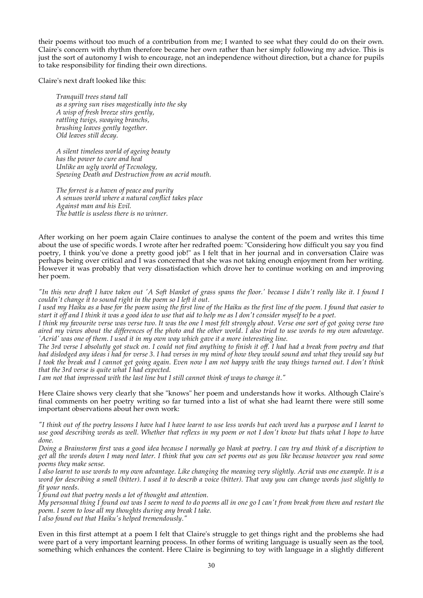their poems without too much of a contribution from me; I wanted to see what they could do on their own. Claire's concern with rhythm therefore became her own rather than her simply following my advice. This is just the sort of autonomy I wish to encourage, not an independence without direction, but a chance for pupils to take responsibility for finding their own directions.

Claire's next draft looked like this:

*Tranquill trees stand tall as a spring sun rises magestically into the sky A wisp of fresh breeze stirs gently, rattling twigs, swaying branchs, brushing leaves gently together. Old leaves still decay.*

*A silent timeless world of ageing beauty has the power to cure and heal Unlike an ugly world of Tecnology, Spewing Death and Destruction from an acrid mouth.*

*The forrest is a haven of peace and purity A senuos world where a natural conflict takes place Against man and his Evil. The battle is useless there is no winner.*

After working on her poem again Claire continues to analyse the content of the poem and writes this time about the use of specific words. I wrote after her redrafted poem: "Considering how difficult you say you find poetry, I think you've done a pretty good job!" as I felt that in her journal and in conversation Claire was perhaps being over critical and I was concerned that she was not taking enough enjoyment from her writing. However it was probably that very dissatisfaction which drove her to continue working on and improving her poem.

"In this new draft I have taken out 'A Soft blanket of grass spans the floor.' because I didn't really like it. I found I *couldn't change it to sound right in the poem so I left it out.*

I used my Haiku as a base for the poem using the first line of the Haiku as the first line of the poem. I found that easier to start it off and I think it was a good idea to use that aid to help me as I don't consider myself to be a poet.

I think my favourite verse was verse two. It was the one I most felt strongly about. Verse one sort of got going verse two aired my views about the differences of the photo and the other world. I also tried to use words to my own advantage. *'Acrid' was one of them. I used it in my own way which gave it a more interesting line.*

The 3rd verse I absolutly got stuck on. I could not find anything to finish it off. I had had a break from poetry and that had dislodged any ideas i had for verse 3. I had verses in my mind of how they would sound and what they would say but I took the break and I cannot get going again. Even now I am not happy with the way things turned out. I don't think *that the 3rd verse is quite what I had expected.*

*I am not that impressed with the last line but I still cannot think of ways to change it."*

Here Claire shows very clearly that she "knows" her poem and understands how it works. Although Claire's final comments on her poetry writing so far turned into a list of what she had learnt there were still some important observations about her own work:

"I think out of the poetry lessons I have had I have learnt to use less words but each word has a purpose and I learnt to use good describing words as well. Whether that reflexs in my poem or not I don't know but thats what I hope to have *done.*

Doing a Brainstorm first was a good idea because I normally go blank at poetry. I can try and think of a discription to get all the words down I may need later. I think that you can set poems out as you like because however you read some *poems they make sense.*

I also learnt to use words to my own advantage. Like changing the meaning very slightly. Acrid was one example. It is a word for describing a smell (bitter). I used it to describ a voice (bitter). That way you can change words just slightly to *fit your needs.*

*I found out that poetry needs a lot of thought and attention.*

My personnal thing I found out was I seem to need to do poems all in one go I can't from break from them and restart the *poem. I seem to lose all my thoughts during any break I take.*

*I also found out that Haiku's helped tremendously."*

Even in this first attempt at a poem I felt that Claire's struggle to get things right and the problems she had were part of a very important learning process. In other forms of writing language is usually seen as the tool, something which enhances the content. Here Claire is beginning to toy with language in a slightly different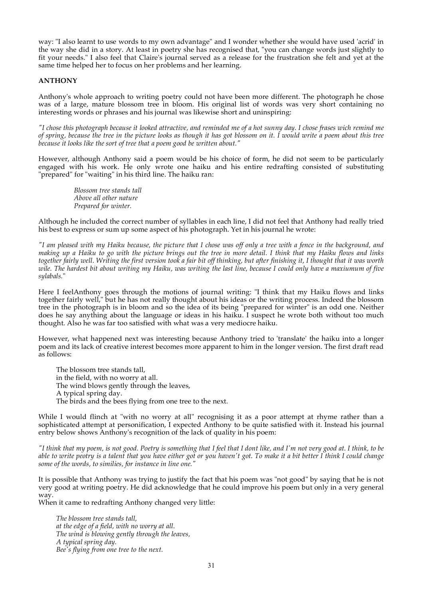way: "I also learnt to use words to my own advantage" and I wonder whether she would have used 'acrid' in the way she did in a story. At least in poetry she has recognised that, "you can change words just slightly to fit your needs." I also feel that Claire's journal served as a release for the frustration she felt and yet at the same time helped her to focus on her problems and her learning.

### **ANTHONY**

Anthony's whole approach to writing poetry could not have been more different. The photograph he chose was of a large, mature blossom tree in bloom. His original list of words was very short containing no interesting words or phrases and his journal was likewise short and uninspiring:

"I chose this photograph because it looked attractive, and reminded me of a hot sunny day. I chose frases wich remind me of spring, because the tree in the picture looks as though it has got blossom on it. I would write a poem about this tree *because it looks like the sort of tree that a poem good be written about."*

However, although Anthony said a poem would be his choice of form, he did not seem to be particularly engaged with his work. He only wrote one haiku and his entire redrafting consisted of substituting "prepared" for "waiting" in his third line. The haiku ran:

> *Blossom tree stands tall Above all other nature Prepared for winter.*

Although he included the correct number of syllables in each line, I did not feel that Anthony had really tried his best to express or sum up some aspect of his photograph. Yet in his journal he wrote:

"I am pleased with my Haiku because, the picture that I chose was off only a tree with a fence in the background, and making up a Haiku to go with the picture brings out the tree in more detail. I think that my Haiku flows and links together fairly well. Writing the first version took a fair bit off thinking, but after finishing it, I thought that it was worth wile. The hardest bit about writing my Haiku, was writing the last line, because I could only have a maxiumum of five *sylabals.*"

Here I feelAnthony goes through the motions of journal writing: "I think that my Haiku flows and links together fairly well," but he has not really thought about his ideas or the writing process. Indeed the blossom tree in the photograph is in bloom and so the idea of its being "prepared for winter" is an odd one. Neither does he say anything about the language or ideas in his haiku. I suspect he wrote both without too much thought. Also he was far too satisfied with what was a very mediocre haiku.

However, what happened next was interesting because Anthony tried to 'translate' the haiku into a longer poem and its lack of creative interest becomes more apparent to him in the longer version. The first draft read as follows:

The blossom tree stands tall, in the field, with no worry at all. The wind blows gently through the leaves, A typical spring day. The birds and the bees flying from one tree to the next.

While I would flinch at "with no worry at all" recognising it as a poor attempt at rhyme rather than a sophisticated attempt at personification, I expected Anthony to be quite satisfied with it. Instead his journal entry below shows Anthony's recognition of the lack of quality in his poem:

"I think that my poem, is not good. Poetry is something that I feel that I dont like, and I'm not very good at. I think, to be able to write peotry is a talent that you have either got or you haven't got. To make it a bit better I think I could change *some of the words, to similies, for instance in line one."*

It is possible that Anthony was trying to justify the fact that his poem was "not good" by saying that he is not very good at writing poetry. He did acknowledge that he could improve his poem but only in a very general way.

When it came to redrafting Anthony changed very little:

*The blossom tree stands tall, at the edge of a field, with no worry at all. The wind is blowing gently through the leaves, A typical spring day. Bee's flying from one tree to the next.*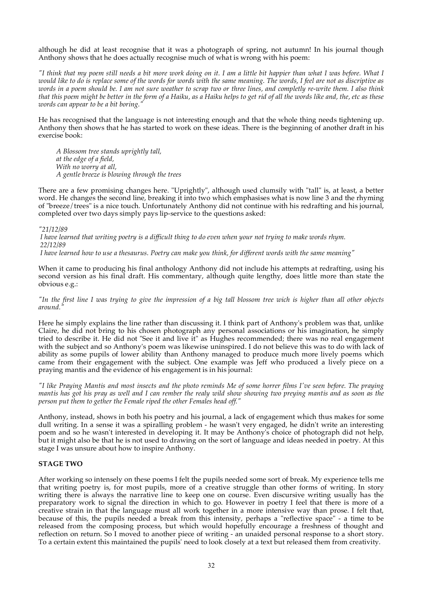although he did at least recognise that it was a photograph of spring, not autumn! In his journal though Anthony shows that he does actually recognise much of what is wrong with his poem:

"I think that my poem still needs a bit more work doing on it. I am a little bit happier than what I was before. What I would like to do is replace some of the words for words with the same meaning. The words, I feel are not as discriptive as words in a poem should be. I am not sure weather to scrap two or three lines, and completly re-write them. I also think that this poem might be better in the form of a Haiku, as a Haiku helps to get rid of all the words like and, the, etc as these *words can appear to be a bit boring."*

He has recognised that the language is not interesting enough and that the whole thing needs tightening up. Anthony then shows that he has started to work on these ideas. There is the beginning of another draft in his exercise book:

*A Blossom tree stands uprightly tall, at the edge of a field, With no worry at all, A gentle breeze is blowing through the trees*

There are a few promising changes here. "Uprightly", although used clumsily with "tall" is, at least, a better word. He changes the second line, breaking it into two which emphasises what is now line 3 and the rhyming of "breeze/trees" is a nice touch. Unfortunately Anthony did not continue with his redrafting and his journal, completed over two days simply pays lip-service to the questions asked:

*"21/12/89*

I have learned that writing poetry is a difficult thing to do even when your not trying to make words rhym. *22/12/89*

I have learned how to use a thesaurus. Poetry can make you think, for different words with the same meaning"

When it came to producing his final anthology Anthony did not include his attempts at redrafting, using his second version as his final draft. His commentary, although quite lengthy, does little more than state the obvious e.g.:

"In the first line I was trying to give the impression of a big tall blossom tree wich is higher than all other objects *around."*

Here he simply explains the line rather than discussing it. I think part of Anthony's problem was that, unlike Claire, he did not bring to his chosen photograph any personal associations or his imagination, he simply tried to describe it. He did not "See it and live it" as Hughes recommended; there was no real engagement with the subject and so Anthony's poem was likewise uninspired. I do not believe this was to do with lack of ability as some pupils of lower ability than Anthony managed to produce much more lively poems which came from their engagement with the subject. One example was Jeff who produced a lively piece on a praying mantis and the evidence of his engagement is in his journal:

"I like Praying Mantis and most insects and the photo reminds Me of some horrer films I've seen before. The praying mantis has got his pray as well and I can rember the realy wild show showing two preying mantis and as soon as the *person put them to gether the Female riped the other Females head off."*

Anthony, instead, shows in both his poetry and his journal, a lack of engagement which thus makes for some dull writing. In a sense it was a spiralling problem - he wasn't very engaged, he didn't write an interesting poem and so he wasn't interested in developing it. It may be Anthony's choice of photograph did not help, but it might also be that he is not used to drawing on the sort of language and ideas needed in poetry. At this stage I was unsure about how to inspire Anthony.

## **STAGE TWO**

After working so intensely on these poems I felt the pupils needed some sort of break. My experience tells me that writing poetry is, for most pupils, more of a creative struggle than other forms of writing. In story writing there is always the narrative line to keep one on course. Even discursive writing usually has the preparatory work to signal the direction in which to go. However in poetry I feel that there is more of a creative strain in that the language must all work together in a more intensive way than prose. I felt that, because of this, the pupils needed a break from this intensity, perhaps a "reflective space" - a time to be released from the composing process, but which would hopefully encourage a freshness of thought and reflection on return. So I moved to another piece of writing - an unaided personal response to a short story. To a certain extent this maintained the pupils' need to look closely at a text but released them from creativity.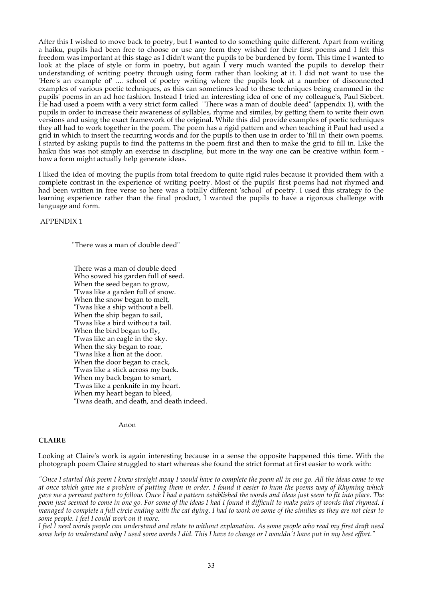After this I wished to move back to poetry, but I wanted to do something quite different. Apart from writing a haiku, pupils had been free to choose or use any form they wished for their first poems and I felt this freedom was important at this stage as I didn't want the pupils to be burdened by form. This time I wanted to look at the place of style or form in poetry, but again I very much wanted the pupils to develop their understanding of writing poetry through using form rather than looking at it. I did not want to use the 'Here's an example of' .... school of poetry writing where the pupils look at a number of disconnected examples of various poetic techniques, as this can sometimes lead to these techniques being crammed in the pupils' poems in an ad hoc fashion. Instead I tried an interesting idea of one of my colleague's, Paul Siebert. He had used a poem with a very strict form called "There was a man of double deed" (appendix 1), with the pupils in order to increase their awareness of syllables, rhyme and similes, by getting them to write their own versions and using the exact framework of the original. While this did provide examples of poetic techniques they all had to work together in the poem. The poem has a rigid pattern and when teaching it Paul had used a grid in which to insert the recurring words and for the pupils to then use in order to 'fill in' their own poems. I started by asking pupils to find the patterns in the poem first and then to make the grid to fill in. Like the haiku this was not simply an exercise in discipline, but more in the way one can be creative within form how a form might actually help generate ideas.

I liked the idea of moving the pupils from total freedom to quite rigid rules because it provided them with a complete contrast in the experience of writing poetry. Most of the pupils' first poems had not rhymed and had been written in free verse so here was a totally different 'school' of poetry. I used this strategy fo the learning experience rather than the final product, I wanted the pupils to have a rigorous challenge with language and form.

### APPENDIX 1

"There was a man of double deed"

There was a man of double deed Who sowed his garden full of seed. When the seed began to grow, 'Twas like a garden full of snow. When the snow began to melt, 'Twas like a ship without a bell. When the ship began to sail, 'Twas like a bird without a tail. When the bird began to fly, 'Twas like an eagle in the sky. When the sky began to roar. 'Twas like a lion at the door. When the door began to crack, 'Twas like a stick across my back. When my back began to smart, 'Twas like a penknife in my heart. When my heart began to bleed, 'Twas death, and death, and death indeed.

Anon

#### **CLAIRE**

Looking at Claire's work is again interesting because in a sense the opposite happened this time. With the photograph poem Claire struggled to start whereas she found the strict format at first easier to work with:

"Once I started this poem I knew straight away I would have to complete the poem all in one go. All the ideas came to me at once which gave me a problem of putting them in order. I found it easier to hum the poems way of Rhyming which gave me a permant pattern to follow. Once I had a pattern established the words and ideas just seem to fit into place. The poem just seemed to come in one go. For some of the ideas I had I found it difficult to make pairs of words that rhymed. I managed to complete a full circle ending with the cat dying. I had to work on some of the similies as they are not clear to *some people. I feel I could work on it more.*

I feel I need words people can understand and relate to without explanation. As some people who read my first draft need some help to understand why I used some words I did. This I have to change or I wouldn't have put in my best effort."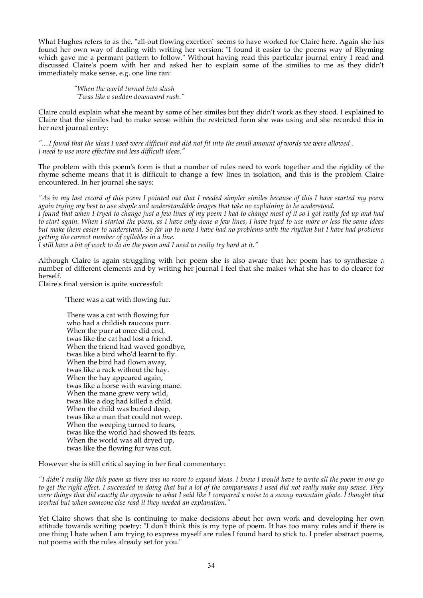What Hughes refers to as the, "all-out flowing exertion" seems to have worked for Claire here. Again she has found her own way of dealing with writing her version: "I found it easier to the poems way of Rhyming which gave me a permant pattern to follow." Without having read this particular journal entry I read and discussed Claire's poem with her and asked her to explain some of the similies to me as they didn't immediately make sense, e.g. one line ran:

> *"When the world turned into slush 'Twas like a sudden downward rush."*

Claire could explain what she meant by some of her similes but they didn't work as they stood. I explained to Claire that the similes had to make sense within the restricted form she was using and she recorded this in her next journal entry:

"....I found that the ideas I used were difficult and did not fit into the small amount of words we were allowed. *I need to use more effective and less difficult ideas."*

The problem with this poem's form is that a number of rules need to work together and the rigidity of the rhyme scheme means that it is difficult to change a few lines in isolation, and this is the problem Claire encountered. In her journal she says:

"As in my last record of this poem I pointed out that I needed simpler similes because of this I have started my poem *again trying my best to use simple and understandable images that take no explaining to be understood.*

I found that when I tryed to change just a few lines of my poem I had to change most of it so I got really fed up and had to start again. When I started the poem, as I have only done a few lines. I have tryed to use more or less the same ideas but make them easier to understand. So far up to now I have had no problems with the rhythm but I have had problems *getting the correct number of cyllables in a line.*

I still have a bit of work to do on the poem and I need to really try hard at it."

Although Claire is again struggling with her poem she is also aware that her poem has to synthesize a number of different elements and by writing her journal I feel that she makes what she has to do clearer for herself.

Claire's final version is quite successful:

'There was a cat with flowing fur.'

There was a cat with flowing fur who had a childish raucous purr. When the purr at once did end, twas like the cat had lost a friend. When the friend had waved goodbye, twas like a bird who'd learnt to fly. When the bird had flown away, twas like a rack without the hay. When the hay appeared again, twas like a horse with waving mane. When the mane grew very wild, twas like a dog had killed a child. When the child was buried deep, twas like a man that could not weep. When the weeping turned to fears, twas like the world had showed its fears. When the world was all dryed up. twas like the flowing fur was cut.

However she is still critical saying in her final commentary:

"I didn't really like this poem as there was no room to expand ideas. I knew I would have to write all the poem in one go to get the right effect. I succeeded in doing that but a lot of the comparisons I used did not really make any sense. They were things that did exactly the opposite to what I said like I compared a noise to a sunny mountain glade. I thought that *worked but when someone else read it they needed an explanation."*

Yet Claire shows that she is continuing to make decisions about her own work and developing her own attitude towards writing poetry: "I don't think this is my type of poem. It has too many rules and if there is one thing I hate when I am trying to express myself are rules I found hard to stick to. I prefer abstract poems, not poems with the rules already set for you."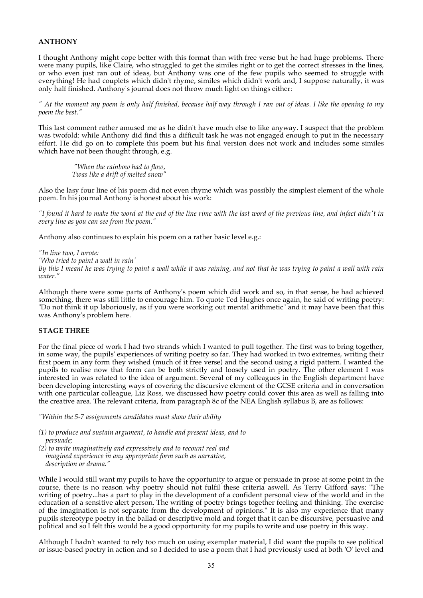### **ANTHONY**

I thought Anthony might cope better with this format than with free verse but he had huge problems. There were many pupils, like Claire, who struggled to get the similes right or to get the correct stresses in the lines, or who even just ran out of ideas, but Anthony was one of the few pupils who seemed to struggle with everything! He had couplets which didn't rhyme, similes which didn't work and, I suppose naturally, it was only half finished. Anthony's journal does not throw much light on things either:

" At the moment my poem is only half finished, because half way through I ran out of ideas. I like the opening to my *poem the best."*

This last comment rather amused me as he didn't have much else to like anyway. I suspect that the problem was twofold: while Anthony did find this a difficult task he was not engaged enough to put in the necessary effort. He did go on to complete this poem but his final version does not work and includes some similes which have not been thought through, e.g.

*"When the rainbow had to flow, Twas like a drift of melted snow"*

Also the lasy four line of his poem did not even rhyme which was possibly the simplest element of the whole poem. In his journal Anthony is honest about his work:

"I found it hard to make the word at the end of the line rime with the last word of the previous line, and infact didn't in *every line as you can see from the poem."*

Anthony also continues to explain his poem on a rather basic level e.g.:

*"In line two, I wrote:*

*'Who tried to paint a wall in rain'*

By this I meant he was trying to paint a wall while it was raining, and not that he was trying to paint a wall with rain *water."*

Although there were some parts of Anthony's poem which did work and so, in that sense, he had achieved something, there was still little to encourage him. To quote Ted Hughes once again, he said of writing poetry: "Do not think it up laboriously, as if you were working out mental arithmetic" and it may have been that this was Anthony's problem here.

#### **STAGE THREE**

For the final piece of work I had two strands which I wanted to pull together. The first was to bring together, in some way, the pupils' experiences of writing poetry so far. They had worked in two extremes, writing their first poem in any form they wished (much of it free verse) and the second using a rigid pattern. I wanted the pupils to realise now that form can be both strictly and loosely used in poetry. The other element I was interested in was related to the idea of argument. Several of my colleagues in the English department have been developing interesting ways of covering the discursive element of the GCSE criteria and in conversation with one particular colleague, Liz Ross, we discussed how poetry could cover this area as well as falling into the creative area. The relevant criteria, from paragraph 8c of the NEA English syllabus B, are as follows:

*"Within the 5-7 assignments candidates must show their ability*

- *(1) to produce and sustain argument, to handle and present ideas, and to persuade;*
- *(2) to write imaginatively and expressively and to recount real and imagined experience in any appropriate form such as narrative, description or drama."*

While I would still want my pupils to have the opportunity to argue or persuade in prose at some point in the course, there is no reason why poetry should not fulfil these criteria aswell. As Terry Gifford says: "The writing of poetry...has a part to play in the development of a confident personal view of the world and in the education of a sensitive alert person. The writing of poetry brings together feeling and thinking. The exercise of the imagination is not separate from the development of opinions." It is also my experience that many pupils stereotype poetry in the ballad or descriptive mold and forget that it can be discursive, persuasive and political and so I felt this would be a good opportunity for my pupils to write and use poetry in this way.

Although I hadn't wanted to rely too much on using exemplar material, I did want the pupils to see political or issue-based poetry in action and so I decided to use a poem that I had previously used at both 'O' level and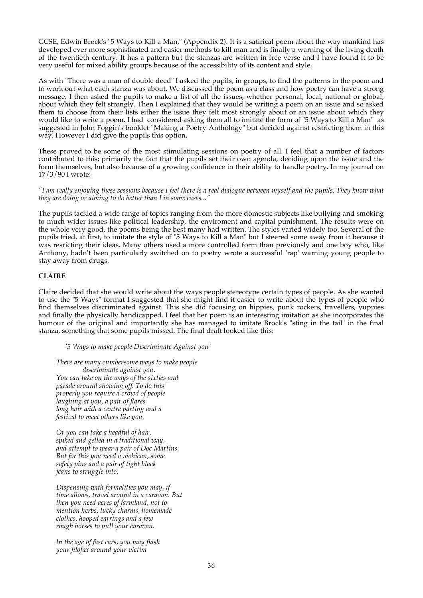GCSE, Edwin Brock's "5 Ways to Kill a Man," (Appendix 2). It is a satirical poem about the way mankind has developed ever more sophisticated and easier methods to kill man and is finally a warning of the living death of the twentieth century. It has a pattern but the stanzas are written in free verse and I have found it to be very useful for mixed ability groups because of the accessibility of its content and style.

As with "There was a man of double deed" I asked the pupils, in groups, to find the patterns in the poem and to work out what each stanza was about. We discussed the poem as a class and how poetry can have a strong message. I then asked the pupils to make a list of all the issues, whether personal, local, national or global, about which they felt strongly. Then I explained that they would be writing a poem on an issue and so asked them to choose from their lists either the issue they felt most strongly about or an issue about which they would like to write a poem. I had considered asking them all to imitate the form of "5 Ways to Kill a Man" as suggested in John Foggin's booklet "Making a Poetry Anthology" but decided against restricting them in this way. However I did give the pupils this option.

These proved to be some of the most stimulating sessions on poetry of all. I feel that a number of factors contributed to this; primarily the fact that the pupils set their own agenda, deciding upon the issue and the form themselves, but also because of a growing confidence in their ability to handle poetry. In my journal on 17/3/90 I wrote:

"I am really enjoying these sessions because I feel there is a real dialogue between myself and the pupils. They know what *they are doing or aiming to do better than I in some cases..."*

The pupils tackled a wide range of topics ranging from the more domestic subjects like bullying and smoking to much wider issues like political leadership, the enviroment and capital punishment. The results were on the whole very good, the poems being the best many had written. The styles varied widely too. Several of the pupils tried, at first, to imitate the style of "5 Ways to Kill a Man" but I steered some away from it because it was resricting their ideas. Many others used a more controlled form than previously and one boy who, like Anthony, hadn't been particularly switched on to poetry wrote a successful 'rap' warning young people to stay away from drugs.

### **CLAIRE**

Claire decided that she would write about the ways people stereotype certain types of people. As she wanted to use the "5 Ways" format I suggested that she might find it easier to write about the types of people who find themselves discriminated against. This she did focusing on hippies, punk rockers, travellers, yuppies and finally the physically handicapped. I feel that her poem is an interesting imitation as she incorporates the humour of the original and importantly she has managed to imitate Brock's "sting in the tail" in the final stanza, something that some pupils missed. The final draft looked like this:

*'5 Ways to make people Discriminate Against you'*

*There are many cumbersome ways to make people discriminate against you. You can take on the ways of the sixties and parade around showing off. To do this properly you require a crowd of people laughing at you, a pair of flares long hair with a centre parting and a festival to meet others like you.*

*Or you can take a headful of hair, spiked and gelled in a traditional way, and attempt to wear a pair of Doc Martins. But for this you need a mohican, some safety pins and a pair of tight black jeans to struggle into.*

*Dispensing with formalities you may, if time allows, travel around in a caravan. But then you need acres of farmland, not to mention herbs, lucky charms, homemade clothes, hooped earrings and a few rough horses to pull your caravan.*

*In the age of fast cars, you may flash your filofax around your victim*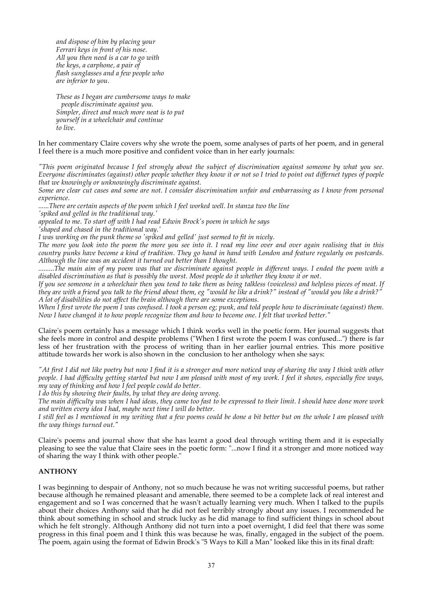*and dispose of him by placing your Ferrari keys in front of his nose. All you then need is a car to go with the keys, a carphone, a pair of flash sunglasses and a few people who are inferior to you.*

*These as I began are cumbersome ways to make people discriminate against you. Simpler, direct and much more neat is to put yourself in a wheelchair and continue to live.*

In her commentary Claire covers why she wrote the poem, some analyses of parts of her poem, and in general I feel there is a much more positive and confident voice than in her early journals:

"This poem originated because I feel strongly about the subject of discrimination against someone by what you see. Everyone discriminates (against) other people whether they know it or not so I tried to point out differnet types of poeple *that we knowingly or unknowingly discriminate against.*

Some are clear cut cases and some are not. I consider discrimination unfair and embarrassing as I know from personal *experience.*

*......There are certain aspects of the poem which I feel worked well. In stanza two the line*

*'spiked and gelled in the traditional way.'*

*appealed to me. To start off with I had read Edwin Brock's poem in which he says*

*'shaped and chased in the traditional way.'*

*I was working on the punk theme so 'spiked and gelled' just seemed to fit in nicely.*

The more you look into the poem the more you see into it. I read my line over and over again realising that in this country punks have become a kind of tradition. They go hand in hand with London and feature regularly on postcards. *Although the line was an accident it turned out better than I thought.*

.........The main aim of my poem was that we discriminate against people in different ways. I ended the poem with a disabled discrimination as that is possibly the worst. Most people do it whether they know it or not.

If you see someone in a wheelchair then you tend to take them as being talkless (voiceless) and helpless pieces of meat. If they are with a friend you talk to the friend about them, eg "would he like a drink?" instead of "would you like a drink?" *A lot of disabilities do not affect the brain although there are some exceptions.*

When I first wrote the poem I was confused. I took a person eg; punk, and told people how to discriminate (against) them. Now I have changed it to how people recognize them and how to become one. I felt that worked better."

Claire's poem certainly has a message which I think works well in the poetic form. Her journal suggests that she feels more in control and despite problems ("When I first wrote the poem I was confused...") there is far less of her frustration with the process of writing than in her earlier journal entries. This more positive attitude towards her work is also shown in the conclusion to her anthology when she says:

"At first I did not like poetry but now I find it is a stronger and more noticed way of sharing the way I think with other people. I had difficulty getting started but now I am pleased with most of my work. I feel it shows, especially five ways, *my way of thinking and how I feel people could do better.*

*I do this by showing their faults, by what they are doing wrong.*

The main difficulty was when I had ideas, they came too fast to be expressed to their limit. I should have done more work *and written every idea I had, maybe next time I will do better.*

I still feel as I mentioned in my writing that a few poems could be done a bit better but on the whole I am pleased with *the way things turned out."*

Claire's poems and journal show that she has learnt a good deal through writing them and it is especially pleasing to see the value that Claire sees in the poetic form: "...now I find it a stronger and more noticed way of sharing the way I think with other people."

## **ANTHONY**

I was beginning to despair of Anthony, not so much because he was not writing successful poems, but rather because although he remained pleasant and amenable, there seemed to be a complete lack of real interest and engagement and so I was concerned that he wasn't actually learning very much. When I talked to the pupils about their choices Anthony said that he did not feel terribly strongly about any issues. I recommended he think about something in school and struck lucky as he did manage to find sufficient things in school about which he felt strongly. Although Anthony did not turn into a poet overnight, I did feel that there was some progress in this final poem and I think this was because he was, finally, engaged in the subject of the poem. The poem, again using the format of Edwin Brock's "5 Ways to Kill a Man" looked like this in its final draft: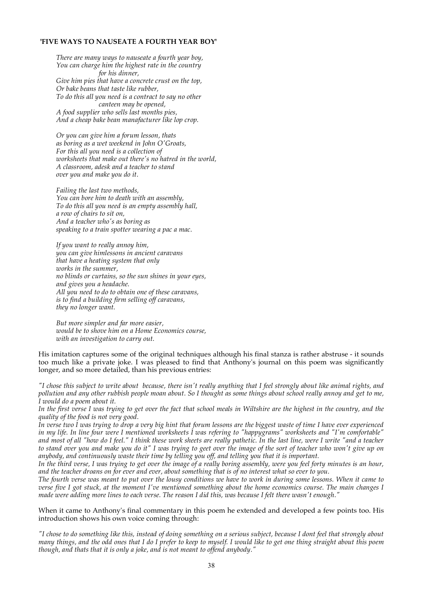#### **'FIVE WAYS TO NAUSEATE A FOURTH YEAR BOY'**

*There are many ways to nauseate a fourth year boy, You can charge him the highest rate in the country for his dinner, Give him pies that have a concrete crust on the top, Or bake beans that taste like rubber, To do this all you need is a contract to say no other canteen may be opened, A food supplier who sells last months pies, And a cheap bake bean manafacturer like lop crop.*

*Or you can give him a forum lesson, thats as boring as a wet weekend in John O'Groats, For this all you need is a collection of worksheets that make out there's no hatred in the world, A classroom, adesk and a teacher to stand over you and make you do it.*

*Failing the last two methods, You can bore him to death with an assembly, To do this all you need is an empty assembly hall, a row of chairs to sit on, And a teacher who's as boring as speaking to a train spotter wearing a pac a mac.*

*If you want to really annoy him, you can give himlessons in ancient caravans that have a heating system that only works in the summer, no blinds or curtains, so the sun shines in your eyes, and gives you a headache. All you need to do to obtain one of these caravans, is to find a building firm selling off caravans, they no longer want.*

*But more simpler and far more easier, would be to shove him on a Home Economics course, with an investigation to carry out.*

His imitation captures some of the original techniques although his final stanza is rather abstruse - it sounds too much like a private joke. I was pleased to find that Anthony's journal on this poem was significantly longer, and so more detailed, than his previous entries:

"I chose this subject to write about because, there isn't really anything that I feel strongly about like animal rights, and pollution and any other rubbish people moan about. So I thought as some things about school really annoy and get to me, *I would do a poem about it.*

In the first verse I was trying to get over the fact that school meals in Wiltshire are the highest in the countru, and the *quality of the food is not very good.*

In verse two I was trying to drop a very big hint that forum lessons are the biggest waste of time I have ever experienced in my life. In line four were I mentioned worksheets I was refering to "happygrams" worksheets and "I'm comfortable" and most of all "how do I feel." I think these work sheets are really pathetic. In the last line, were I write "and a teacher to stand over you and make you do it" I was trying to geet over the image of the sort of teacher who won't give up on *anybody, and continuously waste their time by telling you off, and telling you that it is important.*

In the third verse, I was trying to get over the image of a really boring assembly, were you feel forty minutes is an hour, and the teacher droans on for ever and ever, about something that is of no interest what so ever to you.

The fourth verse was meant to put over the lousy conditions we have to work in during some lessons. When it came to verse five I got stuck, at the moment I've mentioned something about the home economics course. The main changes I made were adding more lines to each verse. The reason I did this, was because I felt there wasn't enough."

When it came to Anthony's final commentary in this poem he extended and developed a few points too. His introduction shows his own voice coming through:

"I chose to do something like this, instead of doing something on a serious subject, because I dont feel that strongly about many things, and the odd ones that I do I prefer to keep to myself. I would like to get one thing straight about this poem *though, and thats that it is only a joke, and is not meant to offend anybody."*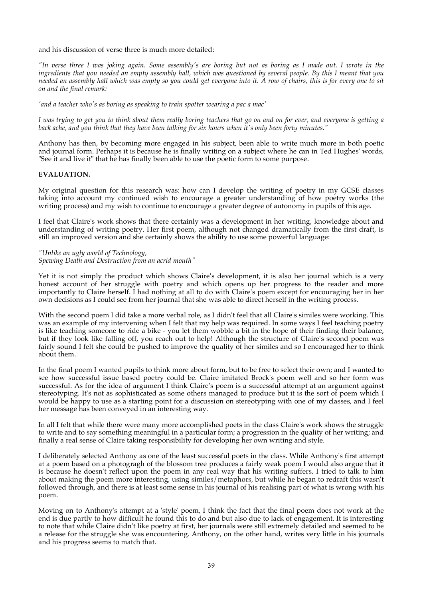and his discussion of verse three is much more detailed:

"In verse three I was joking again. Some assembly's are boring but not as boring as I made out. I wrote in the ingredients that you needed an empty assembly hall, which was questioned by several people. By this I meant that you needed an assembly hall which was empty so you could get everyone into it. A row of chairs, this is for every one to sit *on and the final remark:*

*'and a teacher who's as boring as speaking to train spotter wearing a pac a mac'*

I was trying to get you to think about them really boring teachers that go on and on for ever, and everyone is getting a back ache, and you think that they have been talking for six hours when it's only been forty minutes."

Anthony has then, by becoming more engaged in his subject, been able to write much more in both poetic and journal form. Perhaps it is because he is finally writing on a subject where he can in Ted Hughes' words, "See it and live it" that he has finally been able to use the poetic form to some purpose.

#### **EVALUATION.**

My original question for this research was: how can I develop the writing of poetry in my GCSE classes taking into account my continued wish to encourage a greater understanding of how poetry works (the writing process) and my wish to continue to encourage a greater degree of autonomy in pupils of this age.

I feel that Claire's work shows that there certainly was a development in her writing, knowledge about and understanding of writing poetry. Her first poem, although not changed dramatically from the first draft, is still an improved version and she certainly shows the ability to use some powerful language:

*"Unlike an ugly world of Technology, Spewing Death and Destruction from an acrid mouth"*

Yet it is not simply the product which shows Claire's development, it is also her journal which is a very honest account of her struggle with poetry and which opens up her progress to the reader and more importantly to Claire herself. I had nothing at all to do with Claire's poem except for encouraging her in her own decisions as I could see from her journal that she was able to direct herself in the writing process.

With the second poem I did take a more verbal role, as I didn't feel that all Claire's similes were working. This was an example of my intervening when I felt that my help was required. In some ways I feel teaching poetry is like teaching someone to ride a bike - you let them wobble a bit in the hope of their finding their balance, but if they look like falling off, you reach out to help! Although the structure of Claire's second poem was fairly sound I felt she could be pushed to improve the quality of her similes and so I encouraged her to think about them.

In the final poem I wanted pupils to think more about form, but to be free to select their own; and I wanted to see how successful issue based poetry could be. Claire imitated Brock's poem well and so her form was successful. As for the idea of argument I think Claire's poem is a successful attempt at an argument against stereotyping. It's not as sophisticated as some others managed to produce but it is the sort of poem which I would be happy to use as a starting point for a discussion on stereotyping with one of my classes, and I feel her message has been conveyed in an interesting way.

In all I felt that while there were many more accomplished poets in the class Claire's work shows the struggle to write and to say something meaningful in a particular form; a progression in the quality of her writing; and finally a real sense of Claire taking responsibility for developing her own writing and style.

I deliberately selected Anthony as one of the least successful poets in the class. While Anthony's first attempt at a poem based on a photogragh of the blossom tree produces a fairly weak poem I would also argue that it is because he doesn't reflect upon the poem in any real way that his writing suffers. I tried to talk to him about making the poem more interesting, using similes/metaphors, but while he began to redraft this wasn't followed through, and there is at least some sense in his journal of his realising part of what is wrong with his poem.

Moving on to Anthony's attempt at a 'style' poem, I think the fact that the final poem does not work at the end is due partly to how difficult he found this to do and but also due to lack of engagement. It is interesting to note that while Claire didn't like poetry at first, her journals were still extremely detailed and seemed to be a release for the struggle she was encountering. Anthony, on the other hand, writes very little in his journals and his progress seems to match that.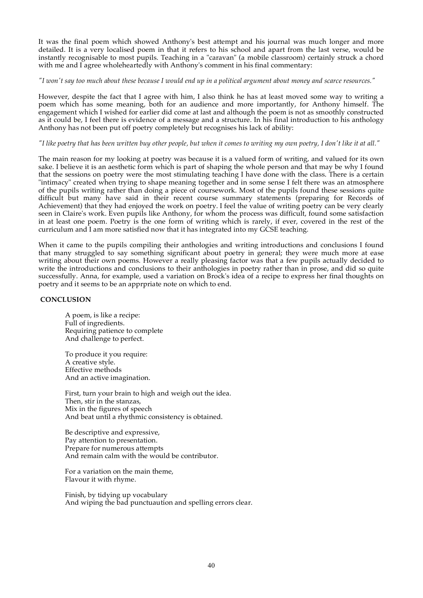It was the final poem which showed Anthony's best attempt and his journal was much longer and more detailed. It is a very localised poem in that it refers to his school and apart from the last verse, would be instantly recognisable to most pupils. Teaching in a "caravan" (a mobile classroom) certainly struck a chord with me and I agree wholeheartedly with Anthony's comment in his final commentary:

"I won't say too much about these because I would end up in a political argument about money and scarce resources."

However, despite the fact that I agree with him, I also think he has at least moved some way to writing a poem which has some meaning, both for an audience and more importantly, for Anthony himself. The engagement which I wished for earlier did come at last and although the poem is not as smoothly constructed as it could be, I feel there is evidence of a message and a structure. In his final introduction to his anthology Anthony has not been put off poetry completely but recognises his lack of ability:

#### "I like poetry that has been written buy other people, but when it comes to writing my own poetry, I don't like it at all."

The main reason for my looking at poetry was because it is a valued form of writing, and valued for its own sake. I believe it is an aesthetic form which is part of shaping the whole person and that may be why I found that the sessions on poetry were the most stimulating teaching I have done with the class. There is a certain "intimacy" created when trying to shape meaning together and in some sense I felt there was an atmosphere of the pupils writing rather than doing a piece of coursework. Most of the pupils found these sessions quite difficult but many have said in their recent course summary statements (preparing for Records of Achievement) that they had enjoyed the work on poetry. I feel the value of writing poetry can be very clearly seen in Claire's work. Even pupils like Anthony, for whom the process was difficult, found some satisfaction in at least one poem. Poetry is the one form of writing which is rarely, if ever, covered in the rest of the curriculum and I am more satisfied now that it has integrated into my GCSE teaching.

When it came to the pupils compiling their anthologies and writing introductions and conclusions I found that many struggled to say something significant about poetry in general; they were much more at ease writing about their own poems. However a really pleasing factor was that a few pupils actually decided to write the introductions and conclusions to their anthologies in poetry rather than in prose, and did so quite successfully. Anna, for example, used a variation on Brock's idea of a recipe to express her final thoughts on poetry and it seems to be an apprpriate note on which to end.

### **CONCLUSION**

A poem, is like a recipe: Full of ingredients. Requiring patience to complete And challenge to perfect.

To produce it you require: A creative style. Effective methods And an active imagination.

First, turn your brain to high and weigh out the idea. Then, stir in the stanzas, Mix in the figures of speech And beat until a rhythmic consistency is obtained.

Be descriptive and expressive, Pay attention to presentation. Prepare for numerous attempts And remain calm with the would be contributor.

For a variation on the main theme, Flavour it with rhyme.

Finish, by tidying up vocabulary And wiping the bad punctuaution and spelling errors clear.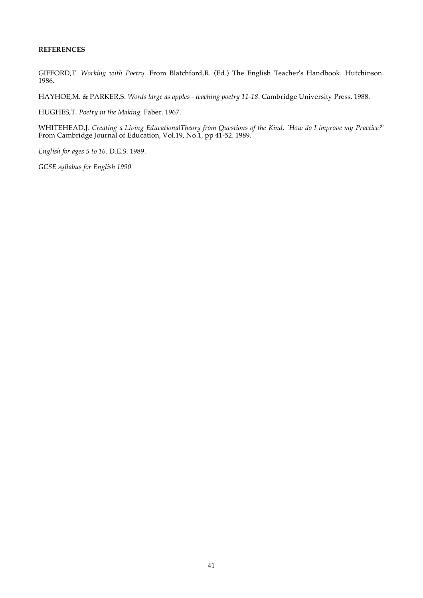## **REFERENCES**

GIFFORD,T. *Working with Poetry.* From Blatchford,R. (Ed.) The English Teacher's Handbook. Hutchinson. 1986.

HAYHOE,M. & PARKER,S. *Words large as apples - teaching poetry 11-18*. Cambridge University Press. 1988.

HUGHES,T. *Poetry in the Making.* Faber. 1967.

WHITEHEAD,J. *Creating a Living EducationalTheory from Questions of the Kind, 'How do I improve my Practice?*' From Cambridge Journal of Education, Vol.19, No.1, pp 41-52. 1989.

*English for ages 5 to 16.* D.E.S. 1989.

*GCSE syllabus for English 1990*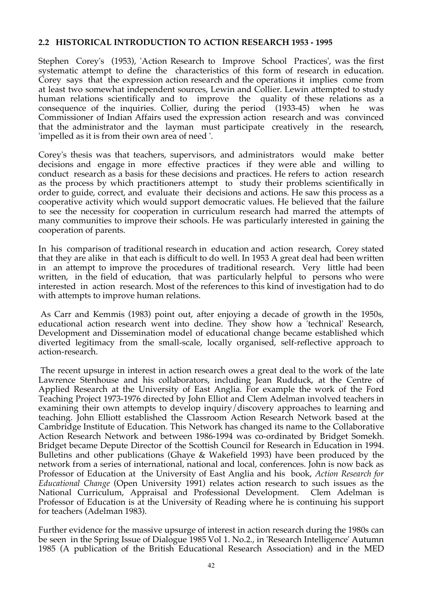# **2.2 HISTORICAL INTRODUCTION TO ACTION RESEARCH 1953 - 1995**

Stephen Corey's (1953), 'Action Research to Improve School Practices', was the first systematic attempt to define the characteristics of this form of research in education. Corey says that the expression action research and the operations it implies come from at least two somewhat independent sources, Lewin and Collier. Lewin attempted to study human relations scientifically and to improve the quality of these relations as a consequence of the inquiries. Collier, during the period (1933-45) when he was Commissioner of Indian Affairs used the expression action research and was convinced that the administrator and the layman must participate creatively in the research, 'impelled as it is from their own area of need '.

Corey's thesis was that teachers, supervisors, and administrators would make better decisions and engage in more effective practices if they were able and willing to conduct research as a basis for these decisions and practices. He refers to action research as the process by which practitioners attempt to study their problems scientifically in order to guide, correct, and evaluate their decisions and actions. He saw this process as a cooperative activity which would support democratic values. He believed that the failure to see the necessity for cooperation in curriculum research had marred the attempts of many communities to improve their schools. He was particularly interested in gaining the cooperation of parents.

In his comparison of traditional research in education and action research, Corey stated that they are alike in that each is difficult to do well. In 1953 A great deal had been written in an attempt to improve the procedures of traditional research. Very little had been written, in the field of education, that was particularly helpful to persons who were interested in action research. Most of the references to this kind of investigation had to do with attempts to improve human relations.

As Carr and Kemmis (1983) point out, after enjoying a decade of growth in the 1950s, educational action research went into decline. They show how a 'technical' Research, Development and Dissemination model of educational change became established which diverted legitimacy from the small-scale, locally organised, self-reflective approach to action-research.

The recent upsurge in interest in action research owes a great deal to the work of the late Lawrence Stenhouse and his collaborators, including Jean Rudduck, at the Centre of Applied Research at the University of East Anglia. For example the work of the Ford Teaching Project 1973-1976 directed by John Elliot and Clem Adelman involved teachers in examining their own attempts to develop inquiry/discovery approaches to learning and teaching. John Elliott established the Classroom Action Research Network based at the Cambridge Institute of Education. This Network has changed its name to the Collaborative Action Research Network and between 1986-1994 was co-ordinated by Bridget Somekh. Bridget became Depute Director of the Scottish Council for Research in Education in 1994. Bulletins and other publications (Ghaye & Wakefield 1993) have been produced by the network from a series of international, national and local, conferences. John is now back as Professor of Education at the University of East Anglia and his book, *Action Research for Educational Change* (Open University 1991) relates action research to such issues as the National Curriculum, Appraisal and Professional Development. Clem Adelman is Professor of Education is at the University of Reading where he is continuing his support for teachers (Adelman 1983).

Further evidence for the massive upsurge of interest in action research during the 1980s can be seen in the Spring Issue of Dialogue 1985 Vol 1. No.2., in 'Research Intelligence' Autumn 1985 (A publication of the British Educational Research Association) and in the MED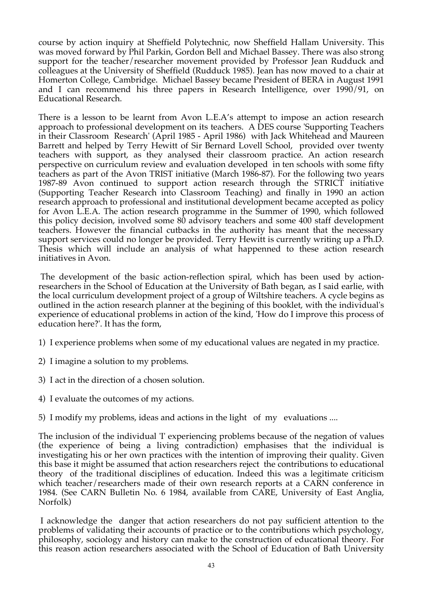course by action inquiry at Sheffield Polytechnic, now Sheffield Hallam University. This was moved forward by Phil Parkin, Gordon Bell and Michael Bassey. There was also strong support for the teacher/researcher movement provided by Professor Jean Rudduck and colleagues at the University of Sheffield (Rudduck 1985). Jean has now moved to a chair at Homerton College, Cambridge. Michael Bassey became President of BERA in August 1991 and I can recommend his three papers in Research Intelligence, over 1990/91, on Educational Research.

There is a lesson to be learnt from Avon L.E.A's attempt to impose an action research approach to professional development on its teachers. A DES course 'Supporting Teachers in their Classroom Research' (April 1985 - April 1986) with Jack Whitehead and Maureen Barrett and helped by Terry Hewitt of Sir Bernard Lovell School, provided over twenty teachers with support, as they analysed their classroom practice. An action research perspective on curriculum review and evaluation developed in ten schools with some fifty teachers as part of the Avon TRIST initiative (March 1986-87). For the following two years 1987-89 Avon continued to support action research through the STRICT initiative (Supporting Teacher Research into Classroom Teaching) and finally in 1990 an action research approach to professional and institutional development became accepted as policy for Avon L.E.A. The action research programme in the Summer of 1990, which followed this policy decision, involved some 80 advisory teachers and some 400 staff development teachers. However the financial cutbacks in the authority has meant that the necessary support services could no longer be provided. Terry Hewitt is currently writing up a Ph.D. Thesis which will include an analysis of what happenned to these action research initiatives in Avon.

The development of the basic action-reflection spiral, which has been used by actionresearchers in the School of Education at the University of Bath began, as I said earlie, with the local curriculum development project of a group of Wiltshire teachers. A cycle begins as outlined in the action research planner at the begining of this booklet, with the individual's experience of educational problems in action of the kind, 'How do I improve this process of education here?'. It has the form,

- 1) I experience problems when some of my educational values are negated in my practice.
- 2) I imagine a solution to my problems.
- 3) I act in the direction of a chosen solution.
- 4) I evaluate the outcomes of my actions.
- 5) I modify my problems, ideas and actions in the light of my evaluations ....

The inclusion of the individual 'I' experiencing problems because of the negation of values (the experience of being a living contradiction) emphasises that the individual is investigating his or her own practices with the intention of improving their quality. Given this base it might be assumed that action researchers reject the contributions to educational theory of the traditional disciplines of education. Indeed this was a legitimate criticism which teacher/researchers made of their own research reports at a CARN conference in 1984. (See CARN Bulletin No. 6 1984, available from CARE, University of East Anglia, Norfolk)

I acknowledge the danger that action researchers do not pay sufficient attention to the problems of validating their accounts of practice or to the contributions which psychology, philosophy, sociology and history can make to the construction of educational theory. For this reason action researchers associated with the School of Education of Bath University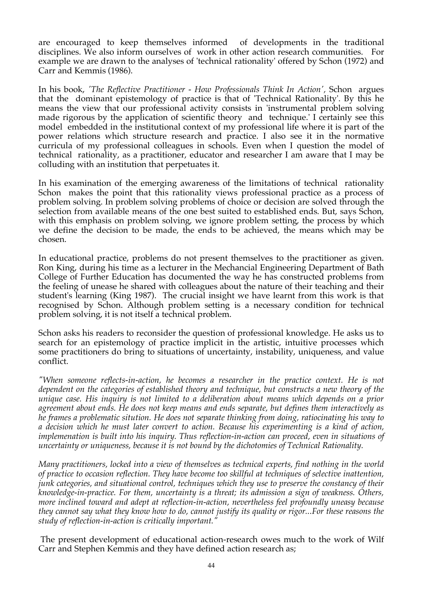are encouraged to keep themselves informed of developments in the traditional disciplines. We also inform ourselves of work in other action research communities. For example we are drawn to the analyses of 'technical rationality' offered by Schon (1972) and Carr and Kemmis (1986).

In his book, *'The Reflective Practitioner - How Professionals Think In Action',* Schon argues that the dominant epistemology of practice is that of 'Technical Rationality'. By this he means the view that our professional activity consists in 'instrumental problem solving made rigorous by the application of scientific theory and technique.' I certainly see this model embedded in the institutional context of my professional life where it is part of the power relations which structure research and practice. I also see it in the normative curricula of my professional colleagues in schools. Even when I question the model of technical rationality, as a practitioner, educator and researcher I am aware that I may be colluding with an institution that perpetuates it.

In his examination of the emerging awareness of the limitations of technical rationality Schon makes the point that this rationality views professional practice as a process of problem solving. In problem solving problems of choice or decision are solved through the selection from available means of the one best suited to established ends. But, says Schon, with this emphasis on problem solving, we ignore problem setting, the process by which we define the decision to be made, the ends to be achieved, the means which may be chosen.

In educational practice, problems do not present themselves to the practitioner as given. Ron King, during his time as a lecturer in the Mechancial Engineering Department of Bath College of Further Education has documented the way he has constructed problems from the feeling of unease he shared with colleagues about the nature of their teaching and their student's learning (King 1987). The crucial insight we have learnt from this work is that recognised by Schon. Although problem setting is a necessary condition for technical problem solving, it is not itself a technical problem.

Schon asks his readers to reconsider the question of professional knowledge. He asks us to search for an epistemology of practice implicit in the artistic, intuitive processes which some practitioners do bring to situations of uncertainty, instability, uniqueness, and value conflict.

*"When someone reflects-in-action, he becomes a researcher in the practice context. He is not dependent on the categories of established theory and technique, but constructs a new theory of the unique case. His inquiry is not limited to a deliberation about means which depends on a prior agreement about ends. He does not keep means and ends separate, but defines them interactively as he frames a problematic sitution. He does not separate thinking from doing, ratiocinating his way to a decision which he must later convert to action. Because his experimenting is a kind of action, implemenation is built into his inquiry. Thus reflection-in-action can proceed, even in situations of uncertainty or uniqueness, because it is not bound by the dichotomies of Technical Rationality.*

*Many practitioners, locked into a view of themselves as technical experts, find nothing in the world of practice to occasion reflection. They have become too skillful at techniques of selective inattention, junk categories, and situational control, techniques which they use to preserve the constancy of their knowledge-in-practice. For them, uncertainty is a threat; its admission a sign of weakness. Others, more inclined toward and adept at reflection-in-action, nevertheless feel profoundly uneasy because they cannot say what they know how to do, cannot justify its quality or rigor...For these reasons the study of reflection-in-action is critically important."*

The present development of educational action-research owes much to the work of Wilf Carr and Stephen Kemmis and they have defined action research as;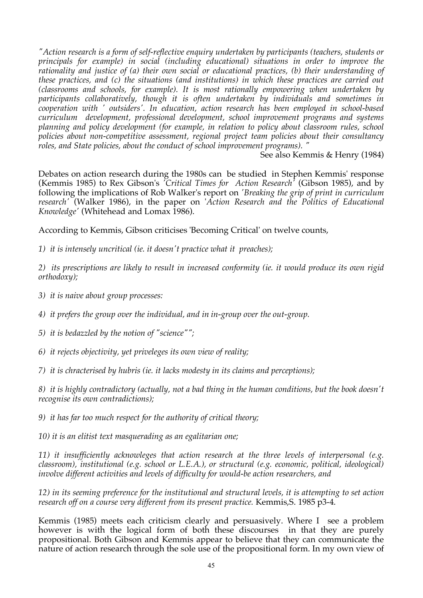*"Action research is a form of self-reflective enquiry undertaken by participants (teachers, students or principals for example) in social (including educational) situations in order to improve the rationality and justice of (a) their own social or educational practices, (b) their understanding of these practices, and (c) the situations (and institutions) in which these practices are carried out (classrooms and schools, for example). It is most rationally empowering when undertaken by participants collaboratively, though it is often undertaken by individuals and sometimes in cooperation with ' outsiders'. In education, action research has been employed in school-based curriculum development, professional development, school improvement programs and systems planning and policy development (for example, in relation to policy about classroom rules, school policies about non-competitive assessment, regional project team policies about their consultancy roles, and State policies, about the conduct of school improvement programs). "*

See also Kemmis & Henry (1984)

Debates on action research during the 1980s can be studied in Stephen Kemmis' response (Kemmis 1985) to Rex Gibson's *'Critical Times for Action Research'* (Gibson 1985), and by following the implications of Rob Walker's report on *'Breaking the grip of print in curriculum research'* (Walker 1986), in the paper on '*Action Research and the Politics of Educational Knowledge'* (Whitehead and Lomax 1986).

According to Kemmis, Gibson criticises 'Becoming Critical' on twelve counts,

*1) it is intensely uncritical (ie. it doesn't practice what it preaches);*

*2) its prescriptions are likely to result in increased conformity (ie. it would produce its own rigid orthodoxy);*

*3) it is naive about group processes:*

*4) it prefers the group over the individual, and in in-group over the out-group.*

*5) it is bedazzled by the notion of "science"";*

*6) it rejects objectivity, yet priveleges its own view of reality;*

*7) it is chracterised by hubris (ie. it lacks modesty in its claims and perceptions);*

*8) it is highly contradictory (actually, not a bad thing in the human conditions, but the book doesn't recognise its own contradictions);*

*9) it has far too much respect for the authority of critical theory;*

*10) it is an elitist text masquerading as an egalitarian one;*

*11) it insufficiently acknowleges that action research at the three levels of interpersonal (e.g. classroom), institutional (e.g. school or L.E.A.), or structural (e.g. economic, political, ideological) involve different activities and levels of difficulty for would-be action researchers, and*

*12) in its seeming preference for the institutional and structural levels, it is attempting to set action research off on a course very different from its present practice.* Kemmis,S. 1985 p3-4.

Kemmis (1985) meets each criticism clearly and persuasively. Where I see a problem however is with the logical form of both these discourses in that they are purely propositional. Both Gibson and Kemmis appear to believe that they can communicate the nature of action research through the sole use of the propositional form. In my own view of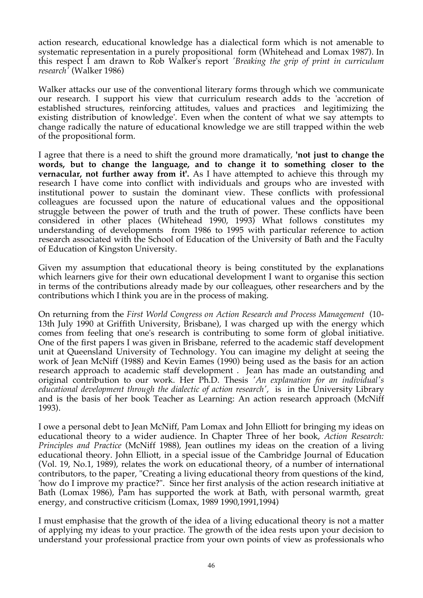action research, educational knowledge has a dialectical form which is not amenable to systematic representation in a purely propositional form (Whitehead and Lomax 1987). In this respect I am drawn to Rob Walker's report *'Breaking the grip of print in curriculum research'* (Walker 1986)

Walker attacks our use of the conventional literary forms through which we communicate our research. I support his view that curriculum research adds to the 'accretion of established structures, reinforcing attitudes, values and practices and legitimizing the existing distribution of knowledge'. Even when the content of what we say attempts to change radically the nature of educational knowledge we are still trapped within the web of the propositional form.

I agree that there is a need to shift the ground more dramatically, **'not just to change the words, but to change the language, and to change it to something closer to the vernacular, not further away from it'.** As I have attempted to achieve this through my research I have come into conflict with individuals and groups who are invested with institutional power to sustain the dominant view. These conflicts with professional colleagues are focussed upon the nature of educational values and the oppositional struggle between the power of truth and the truth of power. These conflicts have been considered in other places (Whitehead 1990, 1993) What follows constitutes my understanding of developments from 1986 to 1995 with particular reference to action research associated with the School of Education of the University of Bath and the Faculty of Education of Kingston University.

Given my assumption that educational theory is being constituted by the explanations which learners give for their own educational development I want to organise this section in terms of the contributions already made by our colleagues, other researchers and by the contributions which I think you are in the process of making.

On returning from the *First World Congress on Action Research and Process Management* (10- 13th July 1990 at Griffith University, Brisbane), I was charged up with the energy which comes from feeling that one's research is contributing to some form of global initiative. One of the first papers I was given in Brisbane, referred to the academic staff development unit at Queensland University of Technology. You can imagine my delight at seeing the work of Jean McNiff (1988) and Kevin Eames (1990) being used as the basis for an action research approach to academic staff development . Jean has made an outstanding and original contribution to our work. Her Ph.D. Thesis *'An explanation for an individual's educational development through the dialectic of action research',* is in the University Library and is the basis of her book Teacher as Learning: An action research approach (McNiff 1993).

I owe a personal debt to Jean McNiff, Pam Lomax and John Elliott for bringing my ideas on educational theory to a wider audience. In Chapter Three of her book, *Action Research: Principles and Practice* (McNiff 1988), Jean outlines my ideas on the creation of a living educational theory. John Elliott, in a special issue of the Cambridge Journal of Education (Vol. 19, No.1, 1989), relates the work on educational theory, of a number of international contributors, to the paper, "Creating a living educational theory from questions of the kind, 'how do I improve my practice?". Since her first analysis of the action research initiative at Bath (Lomax 1986), Pam has supported the work at Bath, with personal warmth, great energy, and constructive criticism (Lomax, 1989 1990,1991,1994)

I must emphasise that the growth of the idea of a living educational theory is not a matter of applying my ideas to your practice. The growth of the idea rests upon your decision to understand your professional practice from your own points of view as professionals who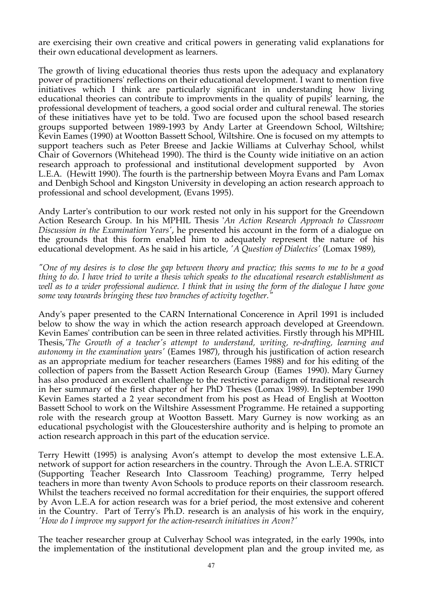are exercising their own creative and critical powers in generating valid explanations for their own educational development as learners.

The growth of living educational theories thus rests upon the adequacy and explanatory power of practitioners' reflections on their educational development. I want to mention five initiatives which I think are particularly significant in understanding how living educational theories can contribute to improvments in the quality of pupils' learning, the professional development of teachers, a good social order and cultural renewal. The stories of these initiatives have yet to be told. Two are focused upon the school based research groups supported between 1989-1993 by Andy Larter at Greendown School, Wiltshire; Kevin Eames (1990) at Wootton Bassett School, Wiltshire. One is focused on my attempts to support teachers such as Peter Breese and Jackie Williams at Culverhay School, whilst Chair of Governors (Whitehead 1990). The third is the County wide initiative on an action research approach to professional and institutional development supported by Avon L.E.A. (Hewitt 1990). The fourth is the partnership between Moyra Evans and Pam Lomax and Denbigh School and Kingston University in developing an action research approach to professional and school development, (Evans 1995).

Andy Larter's contribution to our work rested not only in his support for the Greendown Action Research Group. In his MPHIL Thesis '*An Action Research Approach to Classroom Discussion in the Examination Years'*, he presented his account in the form of a dialogue on the grounds that this form enabled him to adequately represent the nature of his educational development. As he said in his article, *'A Question of Dialectics'* (Lomax 1989),

*"One of my desires is to close the gap between theory and practice; this seems to me to be a good thing to do. I have tried to write a thesis which speaks to the educational research establishment as* well as to a wider professional audience. I think that in using the form of the dialogue I have gone *some way towards bringing these two branches of activity together."*

Andy's paper presented to the CARN International Concerence in April 1991 is included below to show the way in which the action research approach developed at Greendown. Kevin Eames' contribution can be seen in three related activities. Firstly through his MPHIL Thesis,*'The Growth of a teacher's attempt to understand, writing, re-drafting, learning and autonomy in the examination years'* (Eames 1987), through his justification of action research as an appropriate medium for teacher researchers (Eames 1988) and for his editing of the collection of papers from the Bassett Action Research Group (Eames 1990). Mary Gurney has also produced an excellent challenge to the restrictive paradigm of traditional research in her summary of the first chapter of her PhD Theses (Lomax 1989). In September 1990 Kevin Eames started a 2 year secondment from his post as Head of English at Wootton Bassett School to work on the Wiltshire Assessment Programme. He retained a supporting role with the research group at Wootton Bassett. Mary Gurney is now working as an educational psychologist with the Gloucestershire authority and is helping to promote an action research approach in this part of the education service.

Terry Hewitt (1995) is analysing Avon's attempt to develop the most extensive L.E.A. network of support for action researchers in the country. Through the Avon L.E.A. STRICT (Supporting Teacher Research Into Classroom Teaching) programme, Terry helped teachers in more than twenty Avon Schools to produce reports on their classroom research. Whilst the teachers received no formal accreditation for their enquiries, the support offered by Avon L.E.A for action research was for a brief period, the most extensive and coherent in the Country. Part of Terry's Ph.D. research is an analysis of his work in the enquiry, *'How do I improve my support for the action-research initiatives in Avon?'*

The teacher researcher group at Culverhay School was integrated, in the early 1990s, into the implementation of the institutional development plan and the group invited me, as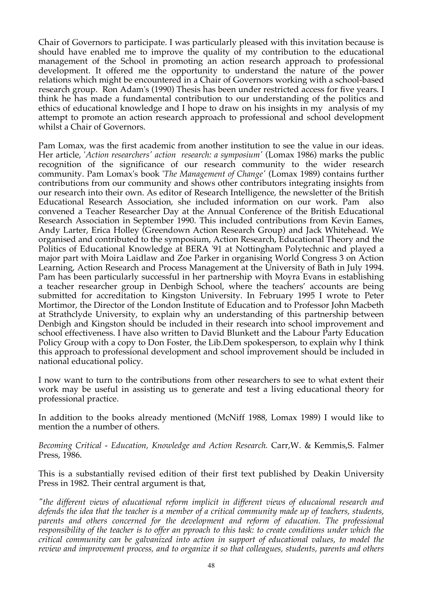Chair of Governors to participate. I was particularly pleased with this invitation because is should have enabled me to improve the quality of my contribution to the educational management of the School in promoting an action research approach to professional development. It offered me the opportunity to understand the nature of the power relations which might be encountered in a Chair of Governors working with a school-based research group. Ron Adam's (1990) Thesis has been under restricted access for five years. I think he has made a fundamental contribution to our understanding of the politics and ethics of educational knowledge and I hope to draw on his insights in my analysis of my attempt to promote an action research approach to professional and school development whilst a Chair of Governors.

Pam Lomax, was the first academic from another institution to see the value in our ideas. Her article, '*Action researchers' action research: a symposium'* (Lomax 1986) marks the public recognition of the significance of our research community to the wider research community. Pam Lomax's book '*The Management of Change'* (Lomax 1989) contains further contributions from our community and shows other contributors integrating insights from our research into their own. As editor of Research Intelligence, the newsletter of the British Educational Research Association, she included information on our work. Pam also convened a Teacher Researcher Day at the Annual Conference of the British Educational Research Association in September 1990. This included contributions from Kevin Eames, Andy Larter, Erica Holley (Greendown Action Research Group) and Jack Whitehead. We organised and contributed to the symposium, Action Research, Educational Theory and the Politics of Educational Knowledge at BERA '91 at Nottingham Polytechnic and played a major part with Moira Laidlaw and Zoe Parker in organising World Congress 3 on Action Learning, Action Research and Process Management at the University of Bath in July 1994. Pam has been particularly successful in her partnership with Moyra Evans in establishing a teacher researcher group in Denbigh School, where the teachers' accounts are being submitted for accreditation to Kingston University. In February 1995 I wrote to Peter Mortimor, the Director of the London Institute of Education and to Professor John Macbeth at Strathclyde University, to explain why an understanding of this partnership between Denbigh and Kingston should be included in their research into school improvement and school effectiveness. I have also written to David Blunkett and the Labour Party Education Policy Group with a copy to Don Foster, the Lib.Dem spokesperson, to explain why I think this approach to professional development and school improvement should be included in national educational policy.

I now want to turn to the contributions from other researchers to see to what extent their work may be useful in assisting us to generate and test a living educational theory for professional practice.

In addition to the books already mentioned (McNiff 1988, Lomax 1989) I would like to mention the a number of others.

*Becoming Critical - Education, Knowledge and Action Research.* Carr,W. & Kemmis,S. Falmer Press, 1986.

This is a substantially revised edition of their first text published by Deakin University Press in 1982. Their central argument is that,

*"the different views of educational reform implicit in different views of educaional research and defends the idea that the teacher is a member of a critical community made up of teachers, students, parents and others concerned for the development and reform of education. The professional responsibility of the teacher is to offer an pproach to this task: to create conditions under which the critical community can be galvanized into action in support of educational values, to model the review and improvement process, and to organize it so that colleagues, students, parents and others*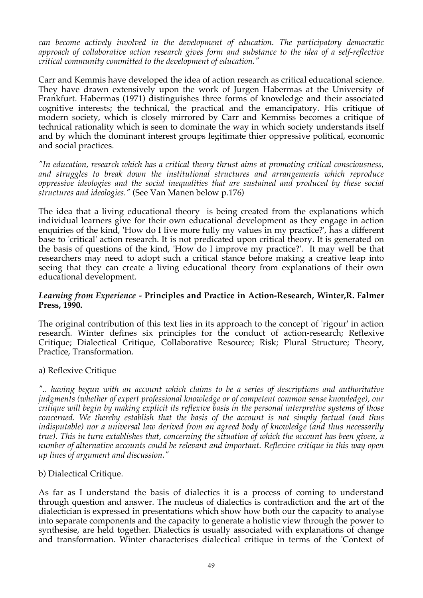*can become actively involved in the development of education. The participatory democratic approach of collaborative action research gives form and substance to the idea of a self-reflective critical community committed to the development of education."* 

Carr and Kemmis have developed the idea of action research as critical educational science. They have drawn extensively upon the work of Jurgen Habermas at the University of Frankfurt. Habermas (1971) distinguishes three forms of knowledge and their associated cognitive interests; the technical, the practical and the emancipatory. His critique of modern society, which is closely mirrored by Carr and Kemmiss becomes a critique of technical rationality which is seen to dominate the way in which society understands itself and by which the dominant interest groups legitimate thier oppressive political, economic and social practices.

*"In education, research which has a critical theory thrust aims at promoting critical consciousness, and struggles to break down the institutional structures and arrangements which reproduce oppressive ideologies and the social inequalities that are sustained and produced by these social structures and ideologies."* (See Van Manen below p.176)

The idea that a living educational theory is being created from the explanations which individual learners give for their own educational development as they engage in action enquiries of the kind, 'How do I live more fully my values in my practice?', has a different base to 'critical' action research. It is not predicated upon critical theory. It is generated on the basis of questions of the kind, 'How do I improve my practice?'. It may well be that researchers may need to adopt such a critical stance before making a creative leap into seeing that they can create a living educational theory from explanations of their own educational development.

# *Learning from Experience -* **Principles and Practice in Action-Research, Winter,R. Falmer Press, 1990.**

The original contribution of this text lies in its approach to the concept of 'rigour' in action research. Winter defines six principles for the conduct of action-research; Reflexive Critique; Dialectical Critique, Collaborative Resource; Risk; Plural Structure; Theory, Practice, Transformation.

# a) Reflexive Critique

*".. having begun with an account which claims to be a series of descriptions and authoritative judgments (whether of expert professional knowledge or of competent common sense knowledge), our critique will begin by making explicit its reflexive basis in the personal interpretive systems of those concerned. We thereby establish that the basis of the account is not simply factual (and thus indisputable) nor a universal law derived from an agreed body of knowledge (and thus necessarily true). This in turn extablishes that, concerning the situation of which the account has been given, a number of alternative accounts could be relevant and important. Reflexive critique in this way open up lines of argument and discussion."*

# b) Dialectical Critique.

As far as I understand the basis of dialectics it is a process of coming to understand through question and answer. The nucleus of dialectics is contradiction and the art of the dialectician is expressed in presentations which show how both our the capacity to analyse into separate components and the capacity to generate a holistic view through the power to synthesise, are held together. Dialectics is usually associated with explanations of change and transformation. Winter characterises dialectical critique in terms of the 'Context of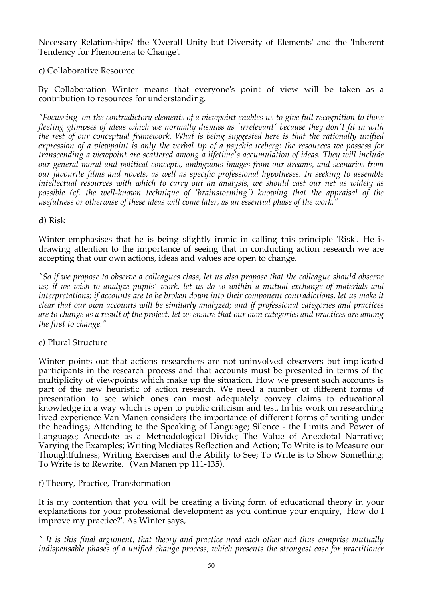Necessary Relationships' the 'Overall Unity but Diversity of Elements' and the 'Inherent Tendency for Phenomena to Change'.

# c) Collaborative Resource

By Collaboration Winter means that everyone's point of view will be taken as a contribution to resources for understanding.

*"Focussing on the contradictory elements of a viewpoint enables us to give full recognition to those fleeting glimpses of ideas which we normally dismiss as 'irrelevant' because they don't fit in with the rest of our conceptual framework. What is being suggested here is that the rationally unified expression of a viewpoint is only the verbal tip of a psychic iceberg: the resources we possess for transcending a viewpoint are scattered among a lifetime's accumulation of ideas. They will include our general moral and political concepts, ambiguous images from our dreams, and scenarios from our favourite films and novels, as well as specific professional hypotheses. In seeking to assemble intellectual resources with which to carry out an analysis, we should cast our net as widely as possible (cf. the well-known technique of 'brainstorming') knowing that the appraisal of the usefulness or otherwise of these ideas will come later, as an essential phase of the work."*

d) Risk

Winter emphasises that he is being slightly ironic in calling this principle 'Risk'. He is drawing attention to the importance of seeing that in conducting action research we are accepting that our own actions, ideas and values are open to change.

*"So if we propose to observe a colleagues class, let us also propose that the colleague should observe us; if we wish to analyze pupils' work, let us do so within a mutual exchange of materials and interpretations; if accounts are to be broken down into their component contradictions, let us make it clear that our own accounts will be similarly analyzed; and if professional categories and practices* are to change as a result of the project, let us ensure that our own categories and practices are among *the first to change."*

# e) Plural Structure

Winter points out that actions researchers are not uninvolved observers but implicated participants in the research process and that accounts must be presented in terms of the multiplicity of viewpoints which make up the situation. How we present such accounts is part of the new heuristic of action research. We need a number of different forms of presentation to see which ones can most adequately convey claims to educational knowledge in a way which is open to public criticism and test. In his work on researching lived experience Van Manen considers the importance of different forms of writing under the headings; Attending to the Speaking of Language; Silence - the Limits and Power of Language; Anecdote as a Methodological Divide; The Value of Anecdotal Narrative; Varying the Examples; Writing Mediates Reflection and Action; To Write is to Measure our Thoughtfulness; Writing Exercises and the Ability to See; To Write is to Show Something; To Write is to Rewrite. (Van Manen pp 111-135).

f) Theory, Practice, Transformation

It is my contention that you will be creating a living form of educational theory in your explanations for your professional development as you continue your enquiry, 'How do I improve my practice?'. As Winter says,

*" It is this final argument, that theory and practice need each other and thus comprise mutually indispensable phases of a unified change process, which presents the strongest case for practitioner*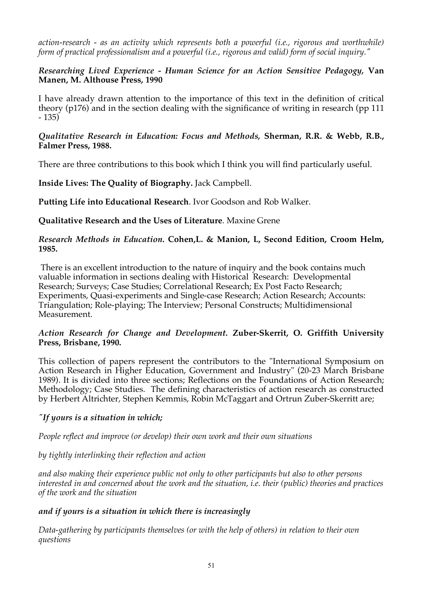*action-research - as an activity which represents both a powerful (i.e., rigorous and worthwhile) form of practical professionalism and a powerful (i.e., rigorous and valid) form of social inquiry."*

# *Researching Lived Experience - Human Science for an Action Sensitive Pedagogy,* **Van Manen, M. Althouse Press, 1990**

I have already drawn attention to the importance of this text in the definition of critical theory (p176) and in the section dealing with the significance of writing in research (pp 111 - 135)

# *Qualitative Research in Education: Focus and Methods,* **Sherman, R.R. & Webb, R.B., Falmer Press, 1988.**

There are three contributions to this book which I think you will find particularly useful.

**Inside Lives: The Quality of Biography.** Jack Campbell.

**Putting Life into Educational Research**. Ivor Goodson and Rob Walker.

# **Qualitative Research and the Uses of Literature**. Maxine Grene

# *Research Methods in Education.* **Cohen,L. & Manion, L, Second Edition, Croom Helm, 1985.**

There is an excellent introduction to the nature of inquiry and the book contains much valuable information in sections dealing with Historical Research: Developmental Research; Surveys; Case Studies; Correlational Research; Ex Post Facto Research; Experiments, Quasi-experiments and Single-case Research; Action Research; Accounts: Triangulation; Role-playing; The Interview; Personal Constructs; Multidimensional Measurement.

# *Action Research for Change and Development.* **Zuber-Skerrit, O. Griffith University Press, Brisbane, 1990.**

This collection of papers represent the contributors to the "International Symposium on Action Research in Higher Education, Government and Industry" (20-23 March Brisbane 1989). It is divided into three sections; Reflections on the Foundations of Action Research; Methodology; Case Studies. The defining characteristics of action research as constructed by Herbert Altrichter, Stephen Kemmis, Robin McTaggart and Ortrun Zuber-Skerritt are;

# *"If yours is a situation in which;*

*People reflect and improve (or develop) their own work and their own situations*

# *by tightly interlinking their reflection and action*

*and also making their experience public not only to other participants but also to other persons interested in and concerned about the work and the situation, i.e. their (public) theories and practices of the work and the situation*

# *and if yours is a situation in which there is increasingly*

*Data-gathering by participants themselves (or with the help of others) in relation to their own questions*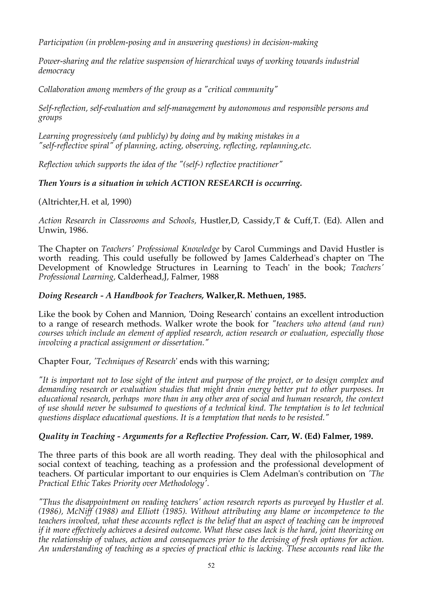*Participation (in problem-posing and in answering questions) in decision-making*

*Power-sharing and the relative suspension of hierarchical ways of working towards industrial democracy*

*Collaboration among members of the group as a "critical community"*

*Self-reflection, self-evaluation and self-management by autonomous and responsible persons and groups*

*Learning progressively (and publicly) by doing and by making mistakes in a "self-reflective spiral" of planning, acting, observing, reflecting, replanning,etc.*

*Reflection which supports the idea of the "(self-) reflective practitioner"*

# *Then Yours is a situation in which ACTION RESEARCH is occurring.*

(Altrichter,H. et al, 1990)

*Action Research in Classrooms and Schools,* Hustler,D, Cassidy,T & Cuff,T. (Ed). Allen and Unwin, 1986.

The Chapter on *Teachers' Professional Knowledge* by Carol Cummings and David Hustler is worth reading. This could usefully be followed by James Calderhead's chapter on 'The Development of Knowledge Structures in Learning to Teach' in the book; *Teachers' Professional Learning,* Calderhead,J, Falmer, 1988

# *Doing Research - A Handbook for Teachers,* **Walker,R. Methuen, 1985.**

Like the book by Cohen and Mannion, 'Doing Research' contains an excellent introduction to a range of research methods. Walker wrote the book for *"teachers who attend (and run) courses which include an element of applied research, action research or evaluation, especially those involving a practical assignment or dissertation."*

Chapter Four, *'Techniques of Research*' ends with this warning;

"It is important not to lose sight of the intent and purpose of the project, or to design complex and *demanding research or evaluation studies that might drain energy better put to other purposes. In educational research, perhaps more than in any other area of social and human research, the context of use should never be subsumed to questions of a technical kind. The temptation is to let technical questions displace educational questions. It is a temptation that needs to be resisted."*

# *Quality in Teaching - Arguments for a Reflective Profession.* **Carr, W. (Ed) Falmer, 1989.**

The three parts of this book are all worth reading. They deal with the philosophical and social context of teaching, teaching as a profession and the professional development of teachers. Of particular important to our enquiries is Clem Adelman's contribution on *'The Practical Ethic Takes Priority over Methodology'.*

*"Thus the disappointment on reading teachers' action research reports as purveyed by Hustler et al. (1986), McNiff (1988) and Elliott (1985). Without attributing any blame or incompetence to the teachers involved, what these accounts reflect is the belief that an aspect of teaching can be improved if it more effectively achieves a desired outcome. What these cases lack is the hard, joint theorizing on the relationship of values, action and consequences prior to the devising of fresh options for action. An understanding of teaching as a species of practical ethic is lacking. These accounts read like the*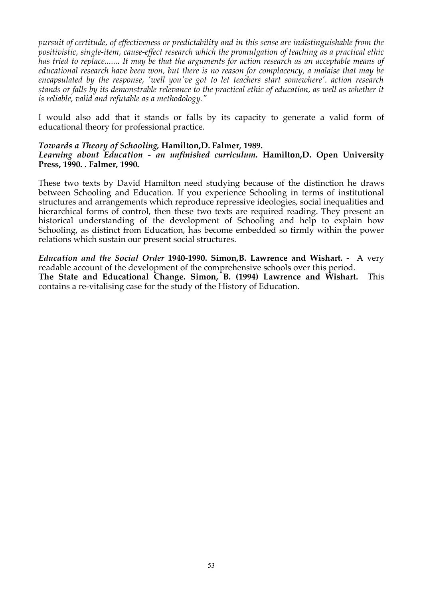*pursuit of certitude, of effectiveness or predictability and in this sense are indistinguishable from the positivistic, single-item, cause-effect research which the promulgation of teaching as a practical ethic has tried to replace....... It may be that the arguments for action research as an acceptable means of educational research have been won, but there is no reason for complacency, a malaise that may be encapsulated by the response, 'well you've got to let teachers start somewhere'. action research stands or falls by its demonstrable relevance to the practical ethic of education, as well as whether it is reliable, valid and refutable as a methodology."*

I would also add that it stands or falls by its capacity to generate a valid form of educational theory for professional practice.

# *Towards a Theory of Schooling,* **Hamilton,D. Falmer, 1989.**

## *Learning about Education - an unfinished curriculum.* **Hamilton,D. Open University Press, 1990. . Falmer, 1990.**

These two texts by David Hamilton need studying because of the distinction he draws between Schooling and Education. If you experience Schooling in terms of institutional structures and arrangements which reproduce repressive ideologies, social inequalities and hierarchical forms of control, then these two texts are required reading. They present an historical understanding of the development of Schooling and help to explain how Schooling, as distinct from Education, has become embedded so firmly within the power relations which sustain our present social structures.

*Education and the Social Order* **1940-1990. Simon,B. Lawrence and Wishart.** - A very readable account of the development of the comprehensive schools over this period. **The State and Educational Change. Simon, B. (1994) Lawrence and Wishart.** This

contains a re-vitalising case for the study of the History of Education.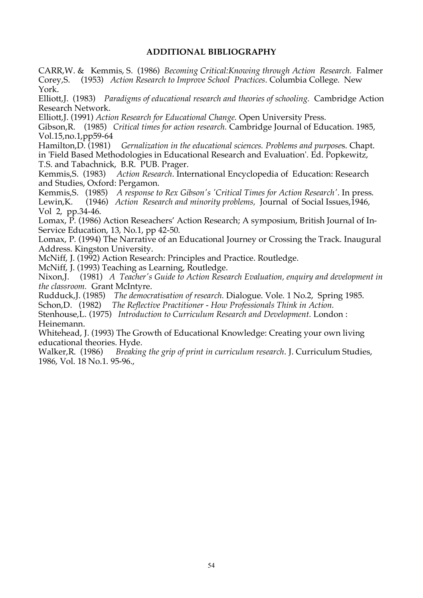# **ADDITIONAL BIBLIOGRAPHY**

CARR,W. & Kemmis, S. (1986) *Becoming Critical:Knowing through Action Research.* Falmer Corey,S. (1953) *Action Research to Improve School Practices*. Columbia College. New York.

Elliott,J. (1983) *Paradigms of educational research and theories of schooling.* Cambridge Action Research Network.

Elliott,J. (1991) *Action Research for Educational Change.* Open University Press.

Gibson,R. (1985) *Critical times for action research.* Cambridge Journal of Education. 1985, Vol.15,no.1,pp59-64

Hamilton,D. (1981) *Gernalization in the educational sciences. Problems and purpose*s. Chapt. in 'Field Based Methodologies in Educational Research and Evaluation'. Ed. Popkewitz, T.S. and Tabachnick, B.R. PUB. Prager.

Kemmis,S. (1983) *Action Research*. International Encyclopedia of Education: Research and Studies, Oxford: Pergamon.

Kemmis,S. (1985) *A response to Rex Gibson's 'Critical Times for Action Research'*. In press. Lewin,K. (1946) *Action Research and minority problems,* Journal of Social Issues,1946, Vol 2, pp.34-46.

Lomax, P. (1986) Action Reseachers' Action Research; A symposium, British Journal of In-Service Education, 13, No.1, pp 42-50.

Lomax, P. (1994) The Narrative of an Educational Journey or Crossing the Track. Inaugural Address. Kingston University.

McNiff, J. (1992) Action Research: Principles and Practice. Routledge.

McNiff, J. (1993) Teaching as Learning, Routledge.

Nixon,J. (1981) *A Teacher's Guide to Action Research Evaluation, enquiry and development in the classroom.* Grant McIntyre.

Rudduck,J. (1985) *The democratisation of research.* Dialogue. Vole. 1 No.2, Spring 1985.

Schon,D. (1982) *The Reflective Practitioner - How Professionals Think in Action.*

Stenhouse,L. (1975) *Introduction to Curriculum Research and Development.* London : Heinemann.

Whitehead, J. (1993) The Growth of Educational Knowledge: Creating your own living educational theories. Hyde.

Walker,R. (1986) *Breaking the grip of print in curriculum research*. J. Curriculum Studies, 1986, Vol. 18 No.1. 95-96.,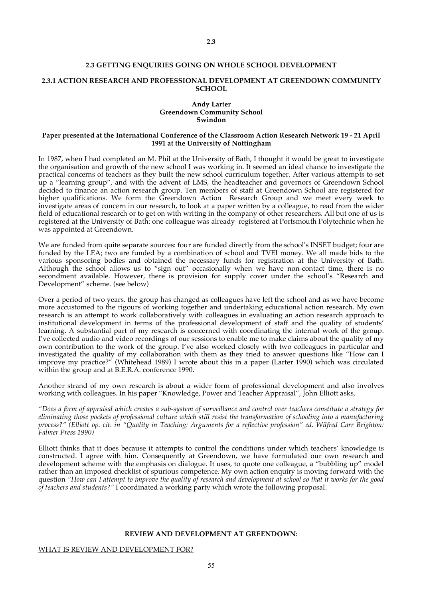#### **2.3 GETTING ENQUIRIES GOING ON WHOLE SCHOOL DEVELOPMENT**

#### **2.3.1 ACTION RESEARCH AND PROFESSIONAL DEVELOPMENT AT GREENDOWN COMMUNITY SCHOOL**

#### **Andy Larter Greendown Community School Swindon**

#### **Paper presented at the International Conference of the Classroom Action Research Network 19 - 21 April 1991 at the University of Nottingham**

In 1987, when I had completed an M. Phil at the University of Bath, I thought it would be great to investigate the organisation and growth of the new school I was working in. It seemed an ideal chance to investigate the practical concerns of teachers as they built the new school curriculum together. After various attempts to set up a "learning group", and with the advent of LMS, the headteacher and governors of Greendown School decided to finance an action research group. Ten members of staff at Greendown School are registered for higher qualifications. We form the Greendown Action Research Group and we meet every week to investigate areas of concern in our research, to look at a paper written by a colleague, to read from the wider field of educational research or to get on with writing in the company of other researchers. All but one of us is registered at the University of Bath: one colleague was already registered at Portsmouth Polytechnic when he was appointed at Greendown.

We are funded from quite separate sources: four are funded directly from the school's INSET budget; four are funded by the LEA; two are funded by a combination of school and TVEI money. We all made bids to the various sponsoring bodies and obtained the necessary funds for registration at the University of Bath. Although the school allows us to "sign out" occasionally when we have non-contact time, there is no secondment available. However, there is provision for supply cover under the school's "Research and Development" scheme. (see below)

Over a period of two years, the group has changed as colleagues have left the school and as we have become more accustomed to the rigours of working together and undertaking educational action research. My own research is an attempt to work collaboratively with colleagues in evaluating an action research approach to institutional development in terms of the professional development of staff and the quality of students' learning. A substantial part of my research is concerned with coordinating the internal work of the group. I've collected audio and video recordings of our sessions to enable me to make claims about the quality of my own contribution to the work of the group. I've also worked closely with two colleagues in particular and investigated the quality of my collaboration with them as they tried to answer questions like "How can I improve my practice?" (Whitehead 1989) I wrote about this in a paper (Larter 1990) which was circulated within the group and at B.E.R.A. conference 1990.

Another strand of my own research is about a wider form of professional development and also involves working with colleagues. In his paper "Knowledge, Power and Teacher Appraisal", John Elliott asks,

"Does a form of appraisal which creates a sub-system of surveillance and control over teachers constitute a strategy for eliminating those pockets of professional culture which still resist the transformation of schooling into a manufacturing process?" (Elliott op. cit. in "Quality in Teaching: Arguments for a reflective profession" ed. Wilfred Carr Brighton: *Falmer Press 1990)*

Elliott thinks that it does because it attempts to control the conditions under which teachers' knowledge is constructed. I agree with him. Consequently at Greendown, we have formulated our own research and development scheme with the emphasis on dialogue. It uses, to quote one colleague, a "bubbling up" model rather than an imposed checklist of spurious competence. My own action enquiry is moving forward with the question "How can I attempt to improve the quality of research and development at school so that it works for the good *of teachers and students?"* I coordinated a working party which wrote the following proposal.

### **REVIEW AND DEVELOPMENT AT GREENDOWN:**

WHAT IS REVIEW AND DEVELOPMENT FOR?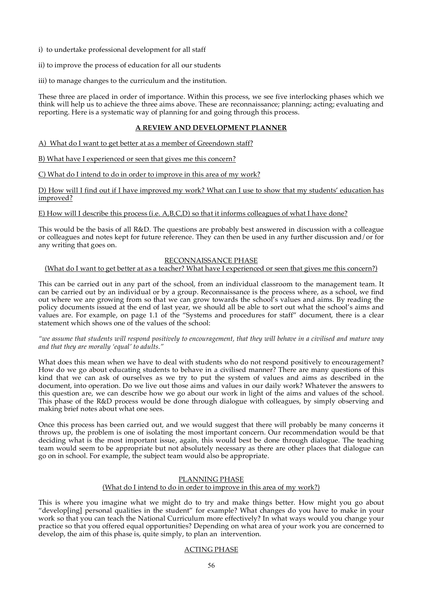- i) to undertake professional development for all staff
- ii) to improve the process of education for all our students
- iii) to manage changes to the curriculum and the institution.

These three are placed in order of importance. Within this process, we see five interlocking phases which we think will help us to achieve the three aims above. These are reconnaissance; planning; acting; evaluating and reporting. Here is a systematic way of planning for and going through this process.

### **A REVIEW AND DEVELOPMENT PLANNER**

A) What do I want to get better at as a member of Greendown staff?

B) What have I experienced or seen that gives me this concern?

C) What do I intend to do in order to improve in this area of my work?

D) How will I find out if I have improved my work? What can I use to show that my students' education has improved?

E) How will I describe this process (i.e. A,B,C,D) so that it informs colleagues of what I have done?

This would be the basis of all R&D. The questions are probably best answered in discussion with a colleague or colleagues and notes kept for future reference. They can then be used in any further discussion and/or for any writing that goes on.

## RECONNAISSANCE PHASE

### (What do I want to get better at as a teacher? What have I experienced or seen that gives me this concern?)

This can be carried out in any part of the school, from an individual classroom to the management team. It can be carried out by an individual or by a group. Reconnaissance is the process where, as a school, we find out where we are growing from so that we can grow towards the school's values and aims. By reading the policy documents issued at the end of last year, we should all be able to sort out what the school's aims and values are. For example, on page 1.1 of the "Systems and procedures for staff" document, there is a clear statement which shows one of the values of the school:

"we assume that students will respond positively to encouragement, that they will behave in a civilised and mature way *and that they are morally 'equal' to adults."*

What does this mean when we have to deal with students who do not respond positively to encouragement? How do we go about educating students to behave in a civilised manner? There are many questions of this kind that we can ask of ourselves as we try to put the system of values and aims as described in the document, into operation. Do we live out those aims and values in our daily work? Whatever the answers to this question are, we can describe how we go about our work in light of the aims and values of the school. This phase of the R&D process would be done through dialogue with colleagues, by simply observing and making brief notes about what one sees.

Once this process has been carried out, and we would suggest that there will probably be many concerns it throws up, the problem is one of isolating the most important concern. Our recommendation would be that deciding what is the most important issue, again, this would best be done through dialogue. The teaching team would seem to be appropriate but not absolutely necessary as there are other places that dialogue can go on in school. For example, the subject team would also be appropriate.

### PLANNING PHASE (What do I intend to do in order to improve in this area of my work?)

This is where you imagine what we might do to try and make things better. How might you go about "develop[ing] personal qualities in the student" for example? What changes do you have to make in your work so that you can teach the National Curriculum more effectively? In what ways would you change your practice so that you offered equal opportunities? Depending on what area of your work you are concerned to develop, the aim of this phase is, quite simply, to plan an intervention.

### ACTING PHASE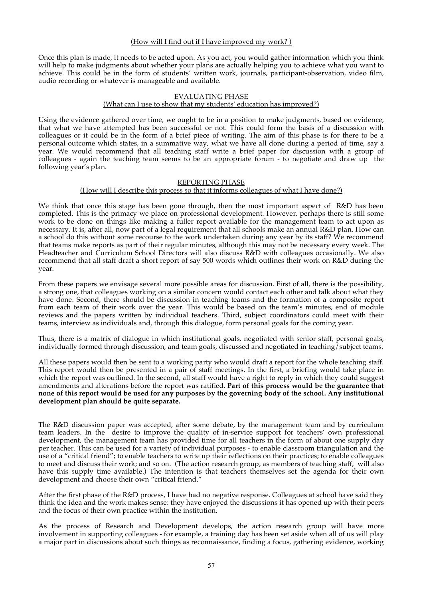#### (How will I find out if I have improved my work? )

Once this plan is made, it needs to be acted upon. As you act, you would gather information which you think will help to make judgments about whether your plans are actually helping you to achieve what you want to achieve. This could be in the form of students' written work, journals, participant-observation, video film, audio recording or whatever is manageable and available.

#### EVALUATING PHASE (What can I use to show that my students' education has improved?)

Using the evidence gathered over time, we ought to be in a position to make judgments, based on evidence, that what we have attempted has been successful or not. This could form the basis of a discussion with colleagues or it could be in the form of a brief piece of writing. The aim of this phase is for there to be a personal outcome which states, in a summative way, what we have all done during a period of time, say a year. We would recommend that all teaching staff write a brief paper for discussion with a group of colleagues - again the teaching team seems to be an appropriate forum - to negotiate and draw up the following year's plan.

#### REPORTING PHASE

### (How will I describe this process so that it informs colleagues of what I have done?)

We think that once this stage has been gone through, then the most important aspect of R&D has been completed. This is the primacy we place on professional development. However, perhaps there is still some work to be done on things like making a fuller report available for the management team to act upon as necessary. It is, after all, now part of a legal requirement that all schools make an annual R&D plan. How can a school do this without some recourse to the work undertaken during any year by its staff? We recommend that teams make reports as part of their regular minutes, although this may not be necessary every week. The Headteacher and Curriculum School Directors will also discuss R&D with colleagues occasionally. We also recommend that all staff draft a short report of say 500 words which outlines their work on R&D during the year.

From these papers we envisage several more possible areas for discussion. First of all, there is the possibility, a strong one, that colleagues working on a similar concern would contact each other and talk about what they have done. Second, there should be discussion in teaching teams and the formation of a composite report from each team of their work over the year. This would be based on the team's minutes, end of module reviews and the papers written by individual teachers. Third, subject coordinators could meet with their teams, interview as individuals and, through this dialogue, form personal goals for the coming year.

Thus, there is a matrix of dialogue in which institutional goals, negotiated with senior staff, personal goals, individually formed through discussion, and team goals, discussed and negotiated in teaching/subject teams.

All these papers would then be sent to a working party who would draft a report for the whole teaching staff. This report would then be presented in a pair of staff meetings. In the first, a briefing would take place in which the report was outlined. In the second, all staff would have a right to reply in which they could suggest amendments and alterations before the report was ratified. **Part of this process would be the guarantee that** none of this report would be used for any purposes by the governing body of the school. Any institutional **development plan should be quite separate.**

The R&D discussion paper was accepted, after some debate, by the management team and by curriculum team leaders. In the desire to improve the quality of in-service support for teachers' own professional development, the management team has provided time for all teachers in the form of about one supply day per teacher. This can be used for a variety of individual purposes - to enable classroom triangulation and the use of a "critical friend"; to enable teachers to write up their reflections on their practices; to enable colleagues to meet and discuss their work; and so on. (The action research group, as members of teaching staff, will also have this supply time available.) The intention is that teachers themselves set the agenda for their own development and choose their own "critical friend."

After the first phase of the R&D process, I have had no negative response. Colleagues at school have said they think the idea and the work makes sense: they have enjoyed the discussions it has opened up with their peers and the focus of their own practice within the institution.

As the process of Research and Development develops, the action research group will have more involvement in supporting colleagues - for example, a training day has been set aside when all of us will play a major part in discussions about such things as reconnaissance, finding a focus, gathering evidence, working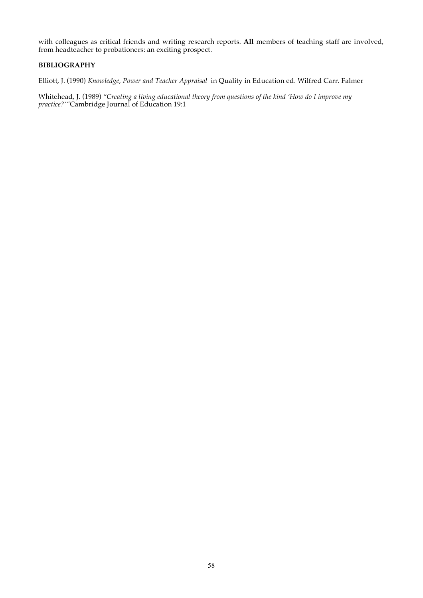with colleagues as critical friends and writing research reports. **All** members of teaching staff are involved, from headteacher to probationers: an exciting prospect.

## **BIBLIOGRAPHY**

Elliott, J. (1990) *Knowledge, Power and Teacher Appraisal* in Quality in Education ed. Wilfred Carr. Falmer

Whitehead, J. (1989) *"Creating a living educational theory from questions of the kind 'How do I improve my practice?'"*Cambridge Journal of Education 19:1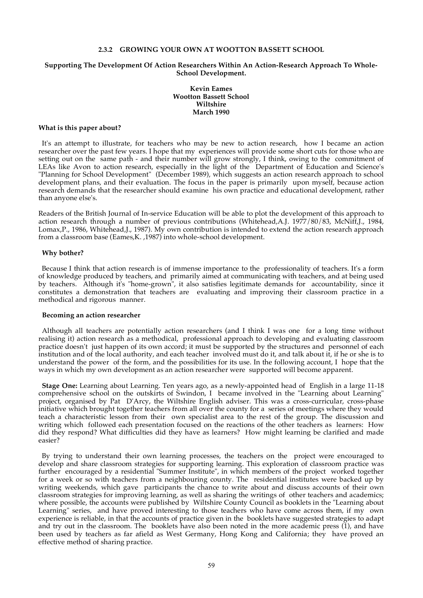#### **2.3.2 GROWING YOUR OWN AT WOOTTON BASSETT SCHOOL**

#### **Supporting The Development Of Action Researchers Within An Action-Research Approach To Whole-School Development.**

#### **Kevin Eames Wootton Bassett School Wiltshire March 1990**

#### **What is this paper about?**

It's an attempt to illustrate, for teachers who may be new to action research, how I became an action researcher over the past few years. I hope that my experiences will provide some short cuts for those who are setting out on the same path - and their number will grow strongly, I think, owing to the commitment of LEAs like Avon to action research, especially in the light of the Department of Education and Science's "Planning for School Development" (December 1989), which suggests an action research approach to school development plans, and their evaluation. The focus in the paper is primarily upon myself, because action research demands that the researcher should examine his own practice and educational development, rather than anyone else's.

Readers of the British Journal of In-service Education will be able to plot the development of this approach to action research through a number of previous contributions (Whitehead,A.J. 1977/80/83, McNiff,J., 1984, Lomax, P., 1986, Whitehead, J., 1987). My own contribution is intended to extend the action research approach from a classroom base (Eames,K. ,1987) into whole-school development.

### **Why bother?**

Because I think that action research is of immense importance to the professionality of teachers. It's a form of knowledge produced by teachers, and primarily aimed at communicating with teachers, and at being used by teachers. Although it's "home-grown", it also satisfies legitimate demands for accountability, since it constitutes a demonstration that teachers are evaluating and improving their classroom practice in a methodical and rigorous manner.

#### **Becoming an action researcher**

Although all teachers are potentially action researchers (and I think I was one for a long time without realising it) action research as a methodical, professional approach to developing and evaluating classroom practice doesn't just happen of its own accord; it must be supported by the structures and personnel of each institution and of the local authority, and each teacher involved must do it, and talk about it, if he or she is to understand the power of the form, and the possibilities for its use. In the following account, I hope that the ways in which my own development as an action researcher were supported will become apparent.

**Stage One:** Learning about Learning. Ten years ago, as a newly-appointed head of English in a large 11-18 comprehensive school on the outskirts of Swindon, I became involved in the "Learning about Learning" project, organised by Pat D'Arcy, the Wiltshire English adviser. This was a cross-curricular, cross-phase initiative which brought together teachers from all over the county for a series of meetings where they would teach a characteristic lesson from their own specialist area to the rest of the group. The discussion and writing which followed each presentation focused on the reactions of the other teachers as learners: How did they respond? What difficulties did they have as learners? How might learning be clarified and made easier?

By trying to understand their own learning processes, the teachers on the project were encouraged to develop and share classroom strategies for supporting learning. This exploration of classroom practice was further encouraged by a residential "Summer Institute", in which members of the project worked together for a week or so with teachers from a neighbouring county. The residential institutes were backed up by writing weekends, which gave participants the chance to write about and discuss accounts of their own classroom strategies for improving learning, as well as sharing the writings of other teachers and academics; where possible, the accounts were published by Wiltshire County Council as booklets in the "Learning about Learning" series, and have proved interesting to those teachers who have come across them, if my own experience is reliable, in that the accounts of practice given in the booklets have suggested strategies to adapt and try out in the classroom. The booklets have also been noted in the more academic press (1), and have been used by teachers as far afield as West Germany, Hong Kong and California; they have proved an effective method of sharing practice.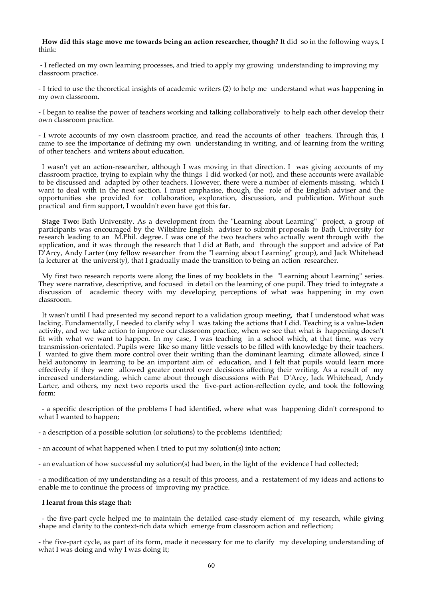#### **How did this stage move me towards being an action researcher, though?** It did so in the following ways, I think:

- I reflected on my own learning processes, and tried to apply my growing understanding to improving my classroom practice.

- I tried to use the theoretical insights of academic writers (2) to help me understand what was happening in my own classroom.

- I began to realise the power of teachers working and talking collaboratively to help each other develop their own classroom practice.

- I wrote accounts of my own classroom practice, and read the accounts of other teachers. Through this, I came to see the importance of defining my own understanding in writing, and of learning from the writing of other teachers and writers about education.

I wasn't yet an action-researcher, although I was moving in that direction. I was giving accounts of my classroom practice, trying to explain why the things I did worked (or not), and these accounts were available to be discussed and adapted by other teachers. However, there were a number of elements missing, which I want to deal with in the next section. I must emphasise, though, the role of the English adviser and the opportunities she provided for collaboration, exploration, discussion, and publication. Without such practical and firm support, I wouldn't even have got this far.

**Stage Two:** Bath University. As a development from the "Learning about Learning" project, a group of participants was encouraged by the Wiltshire English adviser to submit proposals to Bath University for research leading to an M.Phil. degree. I was one of the two teachers who actually went through with the application, and it was through the research that I did at Bath, and through the support and advice of Pat D'Arcy, Andy Larter (my fellow researcher from the "Learning about Learning" group), and Jack Whitehead (a lecturer at the university), that I gradually made the transition to being an action researcher.

My first two research reports were along the lines of my booklets in the "Learning about Learning" series. They were narrative, descriptive, and focused in detail on the learning of one pupil. They tried to integrate a discussion of academic theory with my developing perceptions of what was happening in my own classroom.

It wasn't until I had presented my second report to a validation group meeting, that I understood what was lacking. Fundamentally, I needed to clarify why I was taking the actions that I did. Teaching is a value-laden activity, and we take action to improve our classroom practice, when we see that what is happening doesn't fit with what we want to happen. In my case, I was teaching in a school which, at that time, was very transmission-orientated. Pupils were like so many little vessels to be filled with knowledge by their teachers. I wanted to give them more control over their writing than the dominant learning climate allowed, since I held autonomy in learning to be an important aim of education, and I felt that pupils would learn more effectively if they were allowed greater control over decisions affecting their writing. As a result of my increased understanding, which came about through discussions with Pat D'Arcy, Jack Whitehead, Andy Larter, and others, my next two reports used the five-part action-reflection cycle, and took the following form:

- a specific description of the problems I had identified, where what was happening didn't correspond to what I wanted to happen;

- a description of a possible solution (or solutions) to the problems identified;

- an account of what happened when I tried to put my solution(s) into action;

- an evaluation of how successful my solution(s) had been, in the light of the evidence I had collected;

- a modification of my understanding as a result of this process, and a restatement of my ideas and actions to enable me to continue the process of improving my practice.

#### **I learnt from this stage that:**

- the five-part cycle helped me to maintain the detailed case-study element of my research, while giving shape and clarity to the context-rich data which emerge from classroom action and reflection;

- the five-part cycle, as part of its form, made it necessary for me to clarify my developing understanding of what I was doing and why I was doing it;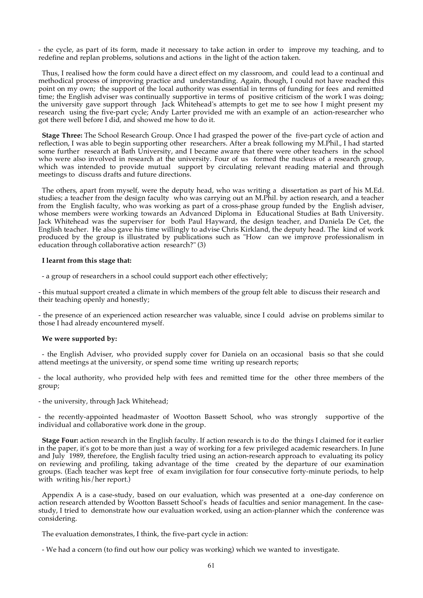- the cycle, as part of its form, made it necessary to take action in order to improve my teaching, and to redefine and replan problems, solutions and actions in the light of the action taken.

Thus, I realised how the form could have a direct effect on my classroom, and could lead to a continual and methodical process of improving practice and understanding. Again, though, I could not have reached this point on my own; the support of the local authority was essential in terms of funding for fees and remitted time; the English adviser was continually supportive in terms of positive criticism of the work I was doing; the university gave support through Jack Whitehead's attempts to get me to see how I might present my research using the five-part cycle; Andy Larter provided me with an example of an action-researcher who got there well before I did, and showed me how to do it.

**Stage Three:** The School Research Group. Once I had grasped the power of the five-part cycle of action and reflection, I was able to begin supporting other researchers. After a break following my M.Phil., I had started some further research at Bath University, and I became aware that there were other teachers in the school who were also involved in research at the university. Four of us formed the nucleus of a research group, which was intended to provide mutual support by circulating relevant reading material and through meetings to discuss drafts and future directions.

The others, apart from myself, were the deputy head, who was writing a dissertation as part of his M.Ed. studies; a teacher from the design faculty who was carrying out an M.Phil. by action research, and a teacher from the English faculty, who was working as part of a cross-phase group funded by the English adviser, whose members were working towards an Advanced Diploma in Educational Studies at Bath University. Jack Whitehead was the superviser for both Paul Hayward, the design teacher, and Daniela De Cet, the English teacher. He also gave his time willingly to advise Chris Kirkland, the deputy head. The kind of work produced by the group is illustrated by publications such as "How can we improve professionalism in education through collaborative action research?" (3)

#### **I learnt from this stage that:**

- a group of researchers in a school could support each other effectively;

- this mutual support created a climate in which members of the group felt able to discuss their research and their teaching openly and honestly;

- the presence of an experienced action researcher was valuable, since I could advise on problems similar to those I had already encountered myself.

### **We were supported by:**

- the English Adviser, who provided supply cover for Daniela on an occasional basis so that she could attend meetings at the university, or spend some time writing up research reports;

- the local authority, who provided help with fees and remitted time for the other three members of the group;

- the university, through Jack Whitehead;

- the recently-appointed headmaster of Wootton Bassett School, who was strongly supportive of the individual and collaborative work done in the group.

**Stage Four:** action research in the English faculty. If action research is to do the things I claimed for it earlier in the paper, it's got to be more than just a way of working for a few privileged academic researchers. In June and July 1989, therefore, the English faculty tried using an action-research approach to evaluating its policy on reviewing and profiling, taking advantage of the time created by the departure of our examination groups. (Each teacher was kept free of exam invigilation for four consecutive forty-minute periods, to help with writing his/her report.)

Appendix A is a case-study, based on our evaluation, which was presented at a one-day conference on action research attended by Wootton Bassett School's heads of faculties and senior management. In the casestudy, I tried to demonstrate how our evaluation worked, using an action-planner which the conference was considering.

The evaluation demonstrates, I think, the five-part cycle in action:

- We had a concern (to find out how our policy was working) which we wanted to investigate.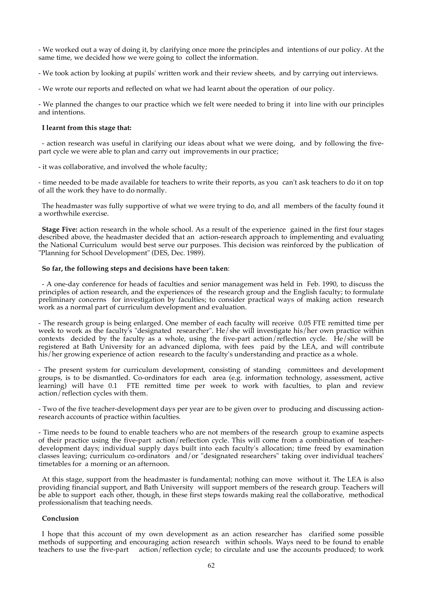- We worked out a way of doing it, by clarifying once more the principles and intentions of our policy. At the same time, we decided how we were going to collect the information.

- We took action by looking at pupils' written work and their review sheets, and by carrying out interviews.

- We wrote our reports and reflected on what we had learnt about the operation of our policy.

- We planned the changes to our practice which we felt were needed to bring it into line with our principles and intentions.

#### **I learnt from this stage that:**

- action research was useful in clarifying our ideas about what we were doing, and by following the fivepart cycle we were able to plan and carry out improvements in our practice;

- it was collaborative, and involved the whole faculty;

- time needed to be made available for teachers to write their reports, as you can't ask teachers to do it on top of all the work they have to do normally.

The headmaster was fully supportive of what we were trying to do, and all members of the faculty found it a worthwhile exercise.

**Stage Five:** action research in the whole school. As a result of the experience gained in the first four stages described above, the headmaster decided that an action-research approach to implementing and evaluating the National Curriculum would best serve our purposes. This decision was reinforced by the publication of "Planning for School Development" (DES, Dec. 1989).

#### **So far, the following steps and decisions have been taken**:

- A one-day conference for heads of faculties and senior management was held in Feb. 1990, to discuss the principles of action research, and the experiences of the research group and the English faculty; to formulate preliminary concerns for investigation by faculties; to consider practical ways of making action research work as a normal part of curriculum development and evaluation.

- The research group is being enlarged. One member of each faculty will receive 0.05 FTE remitted time per week to work as the faculty's "designated researcher". He/she will investigate his/her own practice within contexts decided by the faculty as a whole, using the five-part action/reflection cycle. He/she will be registered at Bath University for an advanced diploma, with fees paid by the LEA, and will contribute his/her growing experience of action research to the faculty's understanding and practice as a whole.

- The present system for curriculum development, consisting of standing committees and development groups, is to be dismantled. Co-ordinators for each area (e.g. information technology, assessment, active learning) will have 0.1 FTE remitted time per week to work with faculties, to plan and review action/reflection cycles with them.

- Two of the five teacher-development days per year are to be given over to producing and discussing actionresearch accounts of practice within faculties.

- Time needs to be found to enable teachers who are not members of the research group to examine aspects of their practice using the five-part action/reflection cycle. This will come from a combination of teacherdevelopment days; individual supply days built into each faculty's allocation; time freed by examination classes leaving; curriculum co-ordinators and/or "designated researchers" taking over individual teachers' timetables for a morning or an afternoon.

At this stage, support from the headmaster is fundamental; nothing can move without it. The LEA is also providing financial support, and Bath University will support members of the research group. Teachers will be able to support each other, though, in these first steps towards making real the collaborative, methodical professionalism that teaching needs.

#### **Conclusion**

I hope that this account of my own development as an action researcher has clarified some possible methods of supporting and encouraging action research within schools. Ways need to be found to enable teachers to use the five-part action/reflection cycle; to circulate and use the accounts produced; to work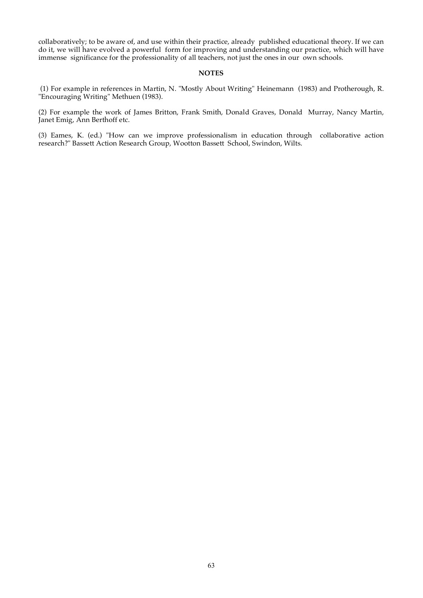collaboratively; to be aware of, and use within their practice, already published educational theory. If we can do it, we will have evolved a powerful form for improving and understanding our practice, which will have immense significance for the professionality of all teachers, not just the ones in our own schools.

#### **NOTES**

(1) For example in references in Martin, N. "Mostly About Writing" Heinemann (1983) and Protherough, R. "Encouraging Writing" Methuen (1983).

(2) For example the work of James Britton, Frank Smith, Donald Graves, Donald Murray, Nancy Martin, Janet Emig, Ann Berthoff etc.

(3) Eames, K. (ed.) "How can we improve professionalism in education through collaborative action research?" Bassett Action Research Group, Wootton Bassett School, Swindon, Wilts.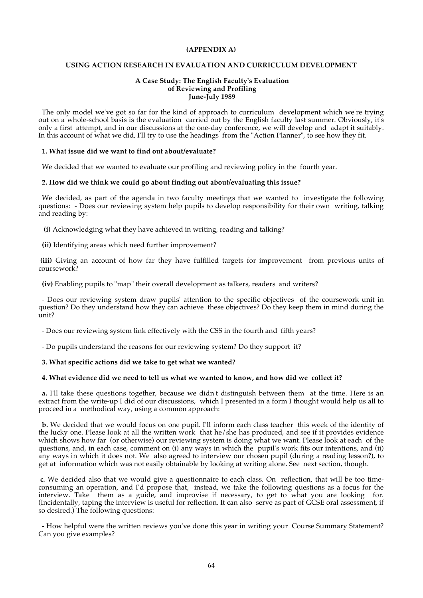#### **(APPENDIX A)**

#### **USING ACTION RESEARCH IN EVALUATION AND CURRICULUM DEVELOPMENT**

#### **A Case Study: The English Faculty's Evaluation of Reviewing and Profiling June-July 1989**

The only model we've got so far for the kind of approach to curriculum development which we're trying out on a whole-school basis is the evaluation carried out by the English faculty last summer. Obviously, it's only a first attempt, and in our discussions at the one-day conference, we will develop and adapt it suitably. In this account of what we did, I'll try to use the headings from the "Action Planner", to see how they fit.

#### **1. What issue did we want to find out about/evaluate?**

We decided that we wanted to evaluate our profiling and reviewing policy in the fourth year.

#### **2. How did we think we could go about finding out about/evaluating this issue?**

We decided, as part of the agenda in two faculty meetings that we wanted to investigate the following questions: - Does our reviewing system help pupils to develop responsibility for their own writing, talking and reading by:

**(i)** Acknowledging what they have achieved in writing, reading and talking?

**(ii)** Identifying areas which need further improvement?

**(iii)** Giving an account of how far they have fulfilled targets for improvement from previous units of coursework?

**(iv)** Enabling pupils to "map" their overall development as talkers, readers and writers?

- Does our reviewing system draw pupils' attention to the specific objectives of the coursework unit in question? Do they understand how they can achieve these objectives? Do they keep them in mind during the unit?

- Does our reviewing system link effectively with the CSS in the fourth and fifth years?

- Do pupils understand the reasons for our reviewing system? Do they support it?

#### **3. What specific actions did we take to get what we wanted?**

#### 4. What evidence did we need to tell us what we wanted to know, and how did we collect it?

**a.** I'll take these questions together, because we didn't distinguish between them at the time. Here is an extract from the write-up I did of our discussions, which I presented in a form I thought would help us all to proceed in a methodical way, using a common approach:

**b.** We decided that we would focus on one pupil. I'll inform each class teacher this week of the identity of the lucky one. Please look at all the written work that he/she has produced, and see if it provides evidence which shows how far (or otherwise) our reviewing system is doing what we want. Please look at each of the questions, and, in each case, comment on (i) any ways in which the pupil's work fits our intentions, and (ii) any ways in which it does not. We also agreed to interview our chosen pupil (during a reading lesson?), to get at information which was not easily obtainable by looking at writing alone. See next section, though.

**c.** We decided also that we would give a questionnaire to each class. On reflection, that will be too timeconsuming an operation, and I'd propose that, instead, we take the following questions as a focus for the interview. Take them as a guide, and improvise if necessary, to get to what you are looking for. (Incidentally, taping the interview is useful for reflection. It can also serve as part of GCSE oral assessment, if so desired.) The following questions:

- How helpful were the written reviews you've done this year in writing your Course Summary Statement? Can you give examples?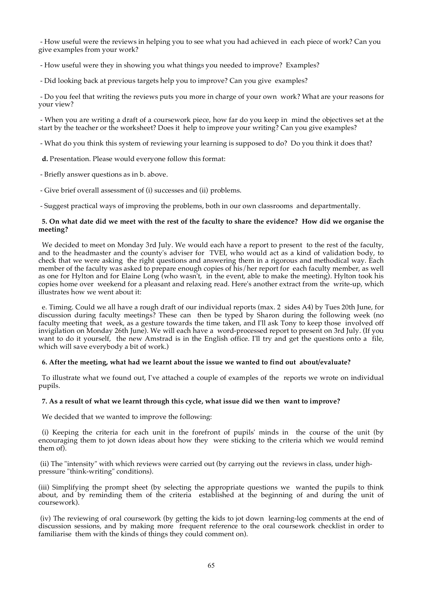- How useful were the reviews in helping you to see what you had achieved in each piece of work? Can you give examples from your work?

- How useful were they in showing you what things you needed to improve? Examples?

- Did looking back at previous targets help you to improve? Can you give examples?

- Do you feel that writing the reviews puts you more in charge of your own work? What are your reasons for your view?

- When you are writing a draft of a coursework piece, how far do you keep in mind the objectives set at the start by the teacher or the worksheet? Does it help to improve your writing? Can you give examples?

- What do you think this system of reviewing your learning is supposed to do? Do you think it does that?

**d.** Presentation. Please would everyone follow this format:

- Briefly answer questions as in b. above.

- Give brief overall assessment of (i) successes and (ii) problems.

- Suggest practical ways of improving the problems, both in our own classrooms and departmentally.

### 5. On what date did we meet with the rest of the faculty to share the evidence? How did we organise the **meeting?**

We decided to meet on Monday 3rd July. We would each have a report to present to the rest of the faculty, and to the headmaster and the county's adviser for TVEI, who would act as a kind of validation body, to check that we were asking the right questions and answering them in a rigorous and methodical way. Each member of the faculty was asked to prepare enough copies of his/her report for each faculty member, as well as one for Hylton and for Elaine Long (who wasn't, in the event, able to make the meeting). Hylton took his copies home over weekend for a pleasant and relaxing read. Here's another extract from the write-up, which illustrates how we went about it:

e. Timing. Could we all have a rough draft of our individual reports (max. 2 sides A4) by Tues 20th June, for discussion during faculty meetings? These can then be typed by Sharon during the following week (no faculty meeting that week, as a gesture towards the time taken, and I'll ask Tony to keep those involved off invigilation on Monday 26th June). We will each have a word-processed report to present on 3rd July. (If you want to do it yourself, the new Amstrad is in the English office. I'll try and get the questions onto a file, which will save everybody a bit of work.)

### **6. After the meeting, what had we learnt about the issue we wanted to find out about/evaluate?**

To illustrate what we found out, I've attached a couple of examples of the reports we wrote on individual pupils.

### 7. As a result of what we learnt through this cycle, what issue did we then want to improve?

We decided that we wanted to improve the following:

(i) Keeping the criteria for each unit in the forefront of pupils' minds in the course of the unit (by encouraging them to jot down ideas about how they were sticking to the criteria which we would remind them of).

(ii) The "intensity" with which reviews were carried out (by carrying out the reviews in class, under highpressure "think-writing" conditions).

(iii) Simplifying the prompt sheet (by selecting the appropriate questions we wanted the pupils to think about, and by reminding them of the criteria established at the beginning of and during the unit of coursework).

(iv) The reviewing of oral coursework (by getting the kids to jot down learning-log comments at the end of discussion sessions, and by making more frequent reference to the oral coursework checklist in order to familiarise them with the kinds of things they could comment on).